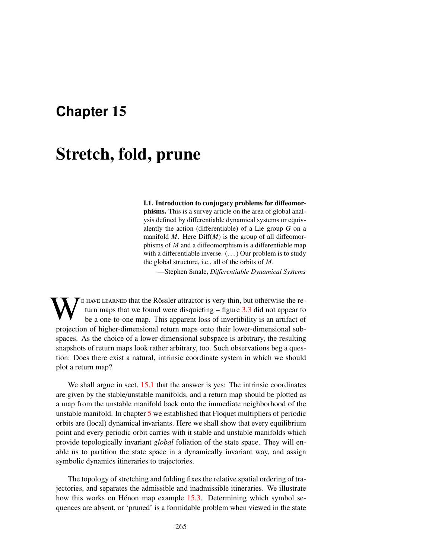## **Chapter** 15

# Stretch, fold, prune

I.1. Introduction to conjugacy problems for diffeomorphisms. This is a survey article on the area of global analysis defined by differentiable dynamical systems or equivalently the action (differentiable) of a Lie group *G* on a manifold  $M$ . Here  $\text{Diff}(M)$  is the group of all diffeomorphisms of *M* and a diffeomorphism is a differentiable map with a differentiable inverse.  $(\dots)$  Our problem is to study the global structure, i.e., all of the orbits of *M*.

—Stephen Smale, *Di*ff*erentiable Dynamical Systems*

W e have learned that the Rössler attractor is very thin, but otherwise the return maps that we found were disquieting  $-$  figure  $3.3$  did not appear to be a one-to-one map. This apparent loss of invertibility is an artifact of projection of higher-dimensional return maps onto their lower-dimensional subspaces. As the choice of a lower-dimensional subspace is arbitrary, the resulting snapshots of return maps look rather arbitrary, too. Such observations beg a question: Does there exist a natural, intrinsic coordinate system in which we should plot a return map?

We shall argue in sect. 15.1 that the answer is yes: The intrinsic coordinates are given by the stable/unstable manifolds, and a return map should be plotted as a map from the unstable manifold back onto the immediate neighborhood of the unstable manifold. In chapter 5 we established that Floquet multipliers of periodic orbits are (local) dynamical invariants. Here we shall show that every equilibrium point and every periodic orbit carries with it stable and unstable manifolds which provide topologically invariant *global* foliation of the state space. They will enable us to partition the state space in a dynamically invariant way, and assign symbolic dynamics itineraries to trajectories.

The topology of stretching and folding fixes the relative spatial ordering of trajectories, and separates the admissible and inadmissible itineraries. We illustrate how this works on Hénon map example 15.3. Determining which symbol sequences are absent, or 'pruned' is a formidable problem when viewed in the state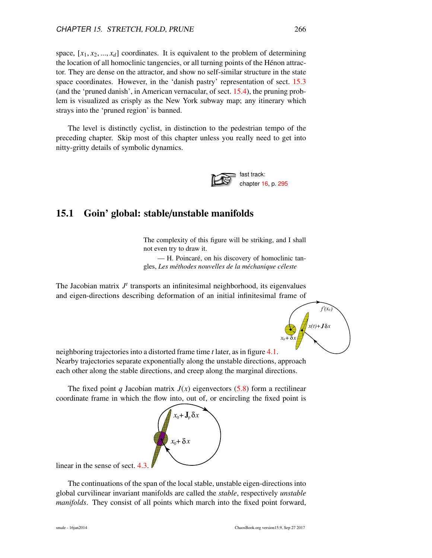space,  $[x_1, x_2, ..., x_d]$  coordinates. It is equivalent to the problem of determining the location of all homoclinic tangencies, or all turning points of the Hénon attractor. They are dense on the attractor, and show no self-similar structure in the state space coordinates. However, in the 'danish pastry' representation of sect. 15.3 (and the 'pruned danish', in American vernacular, of sect. 15.4), the pruning problem is visualized as crisply as the New York subway map; any itinerary which strays into the 'pruned region' is banned.

The level is distinctly cyclist, in distinction to the pedestrian tempo of the preceding chapter. Skip most of this chapter unless you really need to get into nitty-gritty details of symbolic dynamics.



#### 15.1 Goin' global: stable/unstable manifolds

The complexity of this figure will be striking, and I shall not even try to draw it.

— H. Poincaré, on his discovery of homoclinic tangles, *Les méthodes nouvelles de la méchanique céleste*

The Jacobian matrix  $J<sup>t</sup>$  transports an infinitesimal neighborhood, its eigenvalues and eigen-directions describing deformation of an initial infinitesimal frame of



neighboring trajectories into a distorted frame time *t* later, as in figure 4.1. Nearby trajectories separate exponentially along the unstable directions, approach each other along the stable directions, and creep along the marginal directions.

The fixed point *q* Jacobian matrix  $J(x)$  eigenvectors (5.8) form a rectilinear coordinate frame in which the flow into, out of, or encircling the fixed point is



linear in the sense of sect.

The continuations of the span of the local stable, unstable eigen-directions into global curvilinear invariant manifolds are called the *stable*, respectively *unstable manifolds*. They consist of all points which march into the fixed point forward,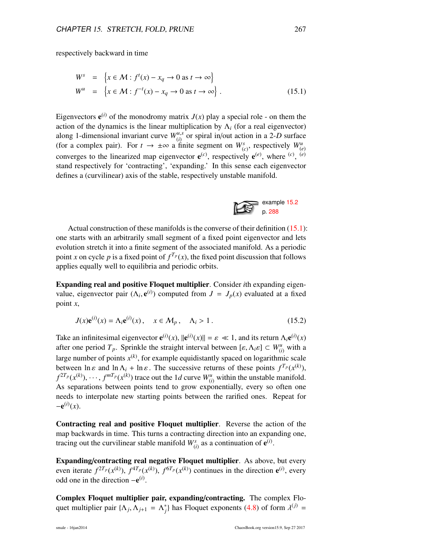respectively backward in time

$$
W^{s} = \left\{ x \in \mathcal{M} : f^{t}(x) - x_{q} \to 0 \text{ as } t \to \infty \right\}
$$
  

$$
W^{u} = \left\{ x \in \mathcal{M} : f^{-t}(x) - x_{q} \to 0 \text{ as } t \to \infty \right\}.
$$
 (15.1)

Eigenvectors  $e^{(i)}$  of the monodromy matrix  $J(x)$  play a special role - on them the action of the dynamics is the linear multiplication by  $\Lambda_i$  (for a real eigenvector) along 1-dimensional invariant curve  $W_{(i)}^{\mu,s}$  or spiral in/out action in a 2-*D* surface (for a complex pair). For  $t \to \pm \infty$  a finite segment on  $W_{(c)}^s$ , respectively  $W_{(e)}^u$ converges to the linearized map eigenvector  $e^{(c)}$ , respectively  $e^{(e)}$ , where  $(c)$ ,  $(e)$ stand respectively for 'contracting', 'expanding.' In this sense each eigenvector defines a (curvilinear) axis of the stable, respectively unstable manifold.



Actual construction of these manifolds is the converse of their definition (15.1): one starts with an arbitrarily small segment of a fixed point eigenvector and lets evolution stretch it into a finite segment of the associated manifold. As a periodic point *x* on cycle *p* is a fixed point of  $f^{T_p}(x)$ , the fixed point discussion that follows applies equally well to equilibria and periodic orbits.

Expanding real and positive Floquet multiplier. Consider *i*th expanding eigenvalue, eigenvector pair  $(\Lambda_i, \mathbf{e}^{(i)})$  computed from  $J = J_p(x)$  evaluated at a fixed point *x* point *x*,

$$
J(x)\mathbf{e}^{(i)}(x) = \Lambda_i \mathbf{e}^{(i)}(x), \quad x \in \mathcal{M}_p, \quad \Lambda_i > 1.
$$
 (15.2)

Take an infinitesimal eigenvector  $e^{(i)}(x)$ ,  $||e^{(i)}(x)|| = \varepsilon \ll 1$ , and its return  $\Lambda_i e^{(i)}(x)$ <br>ofter one period  $T$ . Sprinkle the straight interval between  $\lceil c \Lambda_i c \rceil \subset W^u$ , with a after one period  $T_p$ . Sprinkle the straight interval between  $[\varepsilon, \Lambda_i \varepsilon] \subset W_{(i)}^u$  with a<br>law a graph and points  $(k)$ , for a graph a point interval parameter also be added with points large number of points  $x^{(k)}$ , for example equidistantly spaced on logarithmic scale between ln  $\varepsilon$  and ln  $\Lambda_i$  + ln  $\varepsilon$ . The successive returns of these points  $f^{T_p}(x^{(k)})$ ,<br> $f^{2T_p}(x^{(k)})$ ,  $\ldots$ ,  $f^{mT_p}(x^{(k)})$  trace out the 1*d* curve  $W^u$ , within the unstable manifold  $f^{2T_p}(x^{(k)})$ ,  $\cdots$ ,  $f^{mT_p}(x^{(k)})$  trace out the 1*d* curve  $W^u_{(i)}$  within the unstable manifold. As separations between points tend to grow exponentially, every so often one needs to interpolate new starting points between the rarified ones. Repeat for  $-e^{(i)}(x)$ .

Contracting real and positive Floquet multiplier. Reverse the action of the map backwards in time. This turns a contracting direction into an expanding one, tracing out the curvilinear stable manifold  $W_{(i)}^s$  as a continuation of  $e^{(i)}$ .

Expanding/contracting real negative Floquet multiplier. As above, but every even iterate  $f^{2T_p}(x^{(k)})$ ,  $f^{4T_p}(x^{(k)})$ ,  $f^{6T_p}(x^{(k)})$  continues in the direction  $e^{(i)}$ , every odd one in the direction  $-e^{(i)}$ .

Complex Floquet multiplier pair, expanding/contracting. The complex Floquet multiplier pair  $\{\Lambda_j, \Lambda_{j+1} = \Lambda_j^*\}$  has Floquet exponents (4.8) of form  $\lambda^{(j)}$  =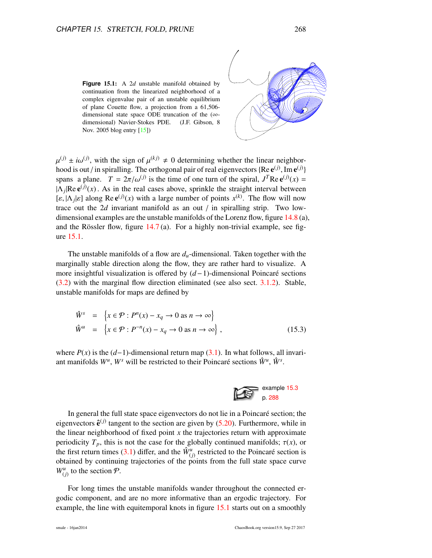**Figure** 15.1: A 2*d* unstable manifold obtained by continuation from the linearized neighborhood of a complex eigenvalue pair of an unstable equilibrium of plane Couette flow, a projection from a 61,506 dimensional state space ODE truncation of the (∞ dimensional) Navier-Stokes PDE. (J.F. Gibson, 8 Nov. 2005 blog entry [15])



hood is out / in spiralling. The orthogonal pair of real eigenvectors {Re  $e^{(j)}$ , Im  $e^{(j)}$ }<br>spans, a plane.  $T = 2\pi/\omega^{(j)}$  is the time of one turn of the spiral.  $I^T \text{Pa} e^{(j)}(x)$  $($ *i*)  $\pm i\omega$ <sup>(*j*)</sup>, with the sign of  $\mu$ <sup>(*kj*)</sup>  $\neq 0$  determining whether the linear neighbor-<br>cod is out (in spiralling. The orthogonal pair of real eigenvectors (**Pe e**<sup>(*j*)</sup> Im e<sup>(*j*)</sup>) spans a plane.  $T = 2\pi/\omega^{(j)}$  is the time of one turn of the spiral,  $J^T\text{Re}(y) =$ <br>(A JPa  $g^{(j)}(x)$ ). As in the real cases above, sprinkle the straight interval between  $|\Lambda_j|$ Re  $e^{(j)}(x)$ . As in the real cases above, sprinkle the straight interval between  $\Gamma_{\rm C}$  and along  $\text{Pa}e^{(j)}(x)$  with a large number of points  $x^{(k)}$ . The flow will now  $[\varepsilon, |\Lambda_j|\varepsilon]$  along Re  $e^{(j)}(x)$  with a large number of points  $x^{(k)}$ . The flow will now<br>trace out the 2*d* invariant manifold as an out *l* in spiralling strip. Two lowtrace out the 2*d* invariant manifold as an out / in spiralling strip. Two lowdimensional examples are the unstable manifolds of the Lorenz flow, figure 14.8 (a), and the Rössler flow, figure  $14.7$  (a). For a highly non-trivial example, see figure 15.1.

The unstable manifolds of a flow are  $d<sub>u</sub>$ -dimensional. Taken together with the marginally stable direction along the flow, they are rather hard to visualize. A more insightful visualization is offered by (*d*−1)-dimensional Poincaré sections (3.2) with the marginal flow direction eliminated (see also sect. 3.1.2). Stable, unstable manifolds for maps are defined by

$$
\hat{W}^s = \left\{ x \in \mathcal{P} : P^n(x) - x_q \to 0 \text{ as } n \to \infty \right\}
$$
  

$$
\hat{W}^u = \left\{ x \in \mathcal{P} : P^{-n}(x) - x_q \to 0 \text{ as } n \to \infty \right\},
$$
 (15.3)

where  $P(x)$  is the  $(d-1)$ -dimensional return map (3.1). In what follows, all invariant manifolds  $W^u$ ,  $W^s$  will be restricted to their Poincaré sections  $\hat{W}^u$ ,  $\hat{W}^s$ .



In general the full state space eigenvectors do not lie in a Poincaré section; the eigenvectors  $\hat{\mathbf{e}}^{(j)}$  tangent to the section are given by (5.20). Furthermore, while in the linear neighborhood of fixed point *x* the trajectories return with approximate periodicity  $T_p$ , this is not the case for the globally continued manifolds;  $\tau(x)$ , or the first return times (3.1) differ, and the  $\hat{W}^u_{(j)}$  restricted to the Poincaré section is obtained by continuing trajectories of the points from the full state space curve  $W_{(j)}^u$  to the section  $\mathcal{P}$ .

For long times the unstable manifolds wander throughout the connected ergodic component, and are no more informative than an ergodic trajectory. For example, the line with equitemporal knots in figure 15.1 starts out on a smoothly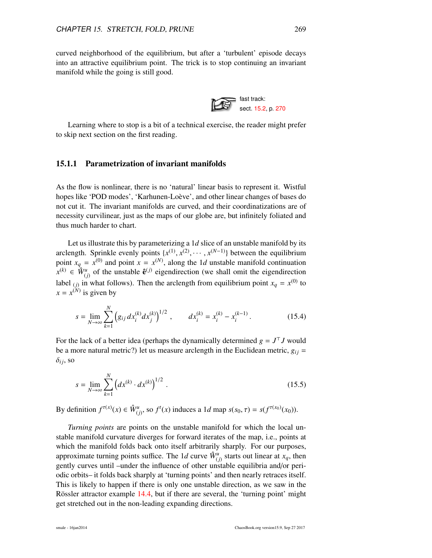curved neighborhood of the equilibrium, but after a 'turbulent' episode decays into an attractive equilibrium point. The trick is to stop continuing an invariant manifold while the going is still good.



Learning where to stop is a bit of a technical exercise, the reader might prefer to skip next section on the first reading.

#### 15.1.1 Parametrization of invariant manifolds

As the flow is nonlinear, there is no 'natural' linear basis to represent it. Wistful hopes like 'POD modes', 'Karhunen-Loève', and other linear changes of bases do not cut it. The invariant manifolds are curved, and their coordinatizations are of necessity curvilinear, just as the maps of our globe are, but infinitely foliated and thus much harder to chart.

Let us illustrate this by parameterizing a 1*d* slice of an unstable manifold by its arclength. Sprinkle evenly points  $\{x^{(1)}, x^{(2)}, \dots, x^{(N-1)}\}$  between the equilibrium arclength. Sprinkle evenly points  $\{x^{(1)}, x^{(2)}, \dots, x^{(N-1)}\}$  between the equilibrium point  $x_q = x^{(0)}$  and point  $x = x^{(N)}$ , along the 1*d* unstable manifold continuation  $x^{(k)} \in \hat{W}_{(j)}^u$  of the unstable  $\hat{\mathbf{e}}^{(j)}$  eigendirection (we shall omit the eigendirection label  $_{(j)}$  in what follows). Then the arclength from equilibrium point  $x_q = x^{(0)}$  to  $x = x^{(N)}$  is given by

$$
s = \lim_{N \to \infty} \sum_{k=1}^{N} \left( g_{ij} \, dx_i^{(k)} dx_j^{(k)} \right)^{1/2} \,, \qquad dx_i^{(k)} = x_i^{(k)} - x_i^{(k-1)} \,. \tag{15.4}
$$

For the lack of a better idea (perhaps the dynamically determined  $g = J^{\top} J$  would be a more natural metric?) let us measure arclength in the Euclidean metric,  $g_{ij}$  =  $\delta_{ij}$ , so

$$
s = \lim_{N \to \infty} \sum_{k=1}^{N} \left( dx^{(k)} \cdot dx^{(k)} \right)^{1/2} . \tag{15.5}
$$

By definition  $f^{(x)}(x) \in \hat{W}_{(j)}^u$ , so  $f^t(x)$  induces a 1*d* map  $s(s_0, \tau) = s(f^{\tau(x_0)}(x_0))$ .

*Turning points* are points on the unstable manifold for which the local unstable manifold curvature diverges for forward iterates of the map, i.e., points at which the manifold folds back onto itself arbitrarily sharply. For our purposes, approximate turning points suffice. The 1*d* curve  $\hat{W}^u_{(j)}$  starts out linear at  $x_q$ , then gently curves until –under the influence of other unstable equilibria and/or periodic orbits– it folds back sharply at 'turning points' and then nearly retraces itself. This is likely to happen if there is only one unstable direction, as we saw in the Rössler attractor example 14.4, but if there are several, the 'turning point' might get stretched out in the non-leading expanding directions.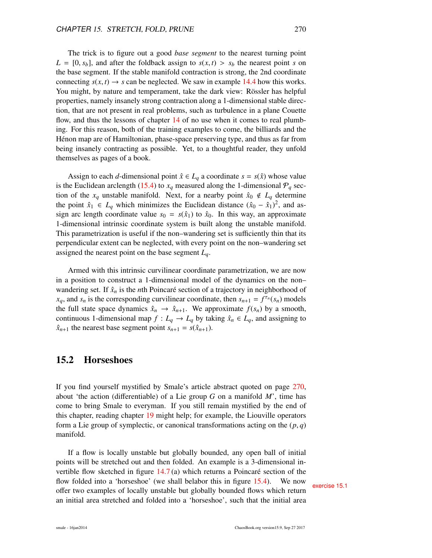The trick is to figure out a good *base segment* to the nearest turning point  $L = [0, s_b]$ , and after the foldback assign to  $s(x, t) > s_b$  the nearest point *s* on the base segment. If the stable manifold contraction is strong, the 2nd coordinate connecting  $s(x, t) \rightarrow s$  can be neglected. We saw in example 14.4 how this works. You might, by nature and temperament, take the dark view: Rössler has helpful properties, namely insanely strong contraction along a 1-dimensional stable direction, that are not present in real problems, such as turbulence in a plane Couette flow, and thus the lessons of chapter 14 of no use when it comes to real plumbing. For this reason, both of the training examples to come, the billiards and the Hénon map are of Hamiltonian, phase-space preserving type, and thus as far from being insanely contracting as possible. Yet, to a thoughtful reader, they unfold themselves as pages of a book.

Assign to each *d*-dimensional point  $\hat{x} \in L_q$  a coordinate  $s = s(\hat{x})$  whose value is the Euclidean arclength (15.4) to  $x_q$  measured along the 1-dimensional  $\mathcal{P}_q$  section of the  $x_q$  unstable manifold. Next, for a nearby point  $\hat{x}_0 \notin L_q$  determine the point  $\hat{x}_1 \in L_q$  which minimizes the Euclidean distance  $(\hat{x}_0 - \hat{x}_1)^2$ , and assign arc length coordinate value  $s_0 = s(\hat{x}_1)$  to  $\hat{x}_0$ . In this way, an approximate 1-dimensional intrinsic coordinate system is built along the unstable manifold. This parametrization is useful if the non–wandering set is sufficiently thin that its perpendicular extent can be neglected, with every point on the non–wandering set assigned the nearest point on the base segment *Lq*.

Armed with this intrinsic curvilinear coordinate parametrization, we are now in a position to construct a 1-dimensional model of the dynamics on the non– wandering set. If ˆ*x<sup>n</sup>* is the *n*th Poincaré section of a trajectory in neighborhood of *x*<sub>*q*</sub>, and *s<sub>n</sub>* is the corresponding curvilinear coordinate, then  $s_{n+1} = f^{\tau_n}(s_n)$  models the full state space dynamics  $\hat{x}_n \to \hat{x}_{n+1}$ . We approximate  $f(s_n)$  by a smooth, continuous 1-dimensional map  $f: L_q \to L_q$  by taking  $\hat{x}_n \in L_q$ , and assigning to  $\hat{x}_{n+1}$  the nearest base segment point  $s_{n+1} = s(\hat{x}_{n+1})$ .

#### 15.2 Horseshoes

If you find yourself mystified by Smale's article abstract quoted on page 270, about 'the action (differentiable) of a Lie group  $G$  on a manifold  $M'$ , time has come to bring Smale to everyman. If you still remain mystified by the end of this chapter, reading chapter 19 might help; for example, the Liouville operators form a Lie group of symplectic, or canonical transformations acting on the  $(p, q)$ manifold.

If a flow is locally unstable but globally bounded, any open ball of initial points will be stretched out and then folded. An example is a 3-dimensional invertible flow sketched in figure  $14.7$  (a) which returns a Poincaré section of the flow folded into a 'horseshoe' (we shall belabor this in figure  $15.4$ ). We now exercise 15.1 offer two examples of locally unstable but globally bounded flows which return an initial area stretched and folded into a 'horseshoe', such that the initial area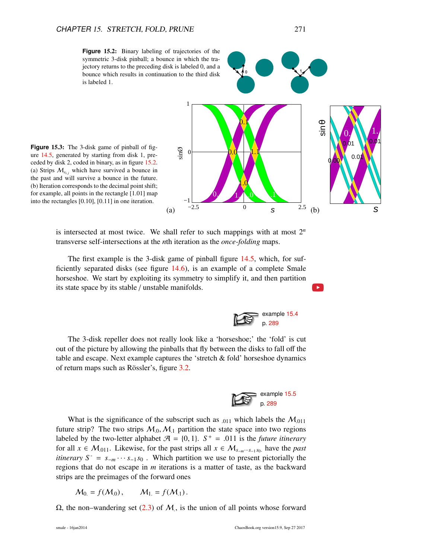**Figure** 15.2: Binary labeling of trajectories of the symmetric 3-disk pinball; a bounce in which the trajectory returns to the preceding disk is labeled 0, and a bounce which results in continuation to the third disk is labeled 1.





is intersected at most twice. We shall refer to such mappings with at most  $2<sup>n</sup>$ transverse self-intersections at the *n*th iteration as the *once-folding* maps.

The first example is the 3-disk game of pinball figure 14.5, which, for sufficiently separated disks (see figure 14.6), is an example of a complete Smale horseshoe. We start by exploiting its symmetry to simplify it, and then partition its state space by its stable / unstable manifolds.

The 3-disk repeller does not really look like a 'horseshoe;' the 'fold' is cut out of the picture by allowing the pinballs that fly between the disks to fall off the table and escape. Next example captures the 'stretch & fold' horseshoe dynamics of return maps such as Rössler's, figure 3.2.



What is the significance of the subscript such as  $_{.011}$  which labels the  $M_{.011}$ future strip? The two strips  $M_0, M_1$  partition the state space into two regions labeled by the two-letter alphabet  $\mathcal{A} = \{0, 1\}$ .  $S^+ = .011$  is the *future itinerary*<br>for all  $x \in M$  sure I ikewise, for the past strips all  $x \in M$  have the past for all *x* ∈  $M_{.011}$ . Likewise, for the past strips all *x* ∈  $M_{s_{-m}\cdots s_{-1}s_0}$  have the *past itinerary*  $S = s_{-m} \cdots s_{-1} s_0$ . Which partition we use to present pictorially the regions that do not escape in *m* iterations is a matter of taste, as the backward strips are the preimages of the forward ones

$$
M_{0.} = f(M_{.0}), \qquad M_{1.} = f(M_{.1}).
$$

 $\Omega$ , the non–wandering set (2.3) of  $M$ , is the union of all points whose forward



example 15.4 p. 289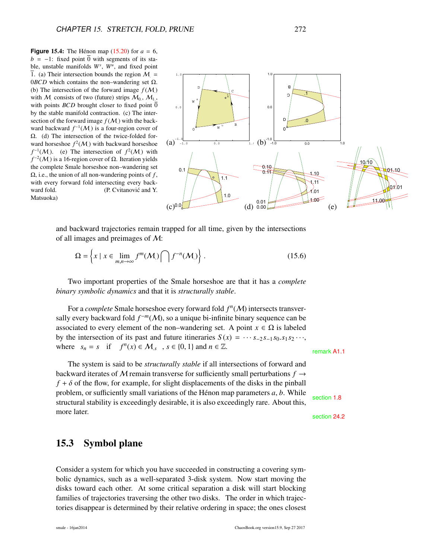**Figure** 15.4: The Hénon map (15.20) for *a* = 6,  $b = -1$ : fixed point  $\overline{0}$  with segments of its stable, unstable manifolds *W<sup>s</sup>* , *W<sup>u</sup>* , and fixed point 1. (a) Their intersection bounds the region  $M =$ 0*BCD* which contains the non–wandering set  $Ω$ . (b) The intersection of the forward image  $f(M)$ with M, consists of two (future) strips  $M_0, M_1,$ <br>with a sixte BCD have the class to fined a sixt  $\overline{\Omega}$ with points *BCD* brought closer to fixed point  $\overline{0}$ by the stable manifold contraction. (c) The intersection of the forward image  $f(M)$  with the backward backward  $f^{-1}(M)$  is a four-region cover of Ω. (d) The intersection of the twice-folded forward horseshoe  $f^2(M)$  with backward horseshoe  $f^{-1}(M)$ . (e) The intersection of  $f^2(M)$  with  $f^{-2}(M)$  is a 16-region cover of  $\Omega$ . Iteration yields the complete Smale horseshoe non–wandering set  $\Omega$ , i.e., the union of all non-wandering points of *f*, with every forward fold intersecting every backward fold. (P. Cvitanović and Y. Matsuoka)



and backward trajectories remain trapped for all time, given by the intersections of all images and preimages of M:

$$
\Omega = \left\{ x \mid x \in \lim_{m,n \to \infty} f^m(M) \bigcap f^{-n}(M) \right\}.
$$
 (15.6)

Two important properties of the Smale horseshoe are that it has a *complete binary symbolic dynamics* and that it is *structurally stable*.

For a *complete* Smale horseshoe every forward fold  $f^n(M)$  intersects transversally every backward fold  $f^{-m}(M)$ , so a unique bi-infinite binary sequence can be associated to every element of the non–wandering set. A point  $x \in \Omega$  is labeled by the intersection of its past and future itineraries  $S(x) = \cdots s_{-2} s_{-1} s_0 s_1 s_2 \cdots$ , where  $s_n = s$  if  $f^n(x) \in M$ ,  $s \in \{0, 1\}$  and  $n \in \mathbb{Z}$ .

The system is said to be *structurally stable* if all intersections of forward and backward iterates of M remain transverse for sufficiently small perturbations  $f \rightarrow$  $f + \delta$  of the flow, for example, for slight displacements of the disks in the pinball problem, or sufficiently small variations of the Hénon map parameters  $a$ ,  $b$ . While section 1.8 structural stability is exceedingly desirable, it is also exceedingly rare. About this, more later. Section 24.2

## 15.3 Symbol plane

Consider a system for which you have succeeded in constructing a covering symbolic dynamics, such as a well-separated 3-disk system. Now start moving the disks toward each other. At some critical separation a disk will start blocking families of trajectories traversing the other two disks. The order in which trajectories disappear is determined by their relative ordering in space; the ones closest

remark A1.1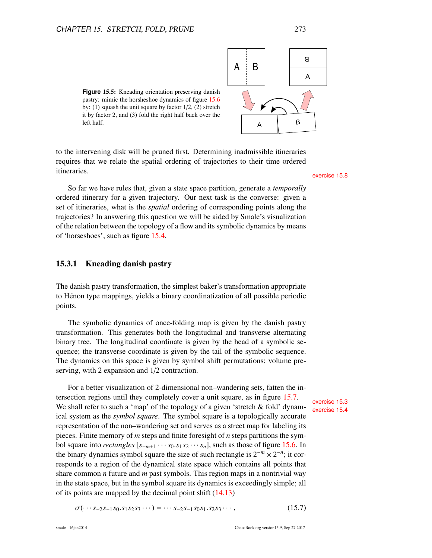A

B

B

B

A

A



to the intervening disk will be pruned first. Determining inadmissible itineraries requires that we relate the spatial ordering of trajectories to their time ordered itineraries.<br>
Exercise 15.8<br>
exercise 15.8

So far we have rules that, given a state space partition, generate a *temporally* ordered itinerary for a given trajectory. Our next task is the converse: given a set of itineraries, what is the *spatial* ordering of corresponding points along the trajectories? In answering this question we will be aided by Smale's visualization of the relation between the topology of a flow and its symbolic dynamics by means of 'horseshoes', such as figure 15.4.

#### 15.3.1 Kneading danish pastry

The danish pastry transformation, the simplest baker's transformation appropriate to Hénon type mappings, yields a binary coordinatization of all possible periodic points.

The symbolic dynamics of once-folding map is given by the danish pastry transformation. This generates both the longitudinal and transverse alternating binary tree. The longitudinal coordinate is given by the head of a symbolic sequence; the transverse coordinate is given by the tail of the symbolic sequence. The dynamics on this space is given by symbol shift permutations; volume preserving, with 2 expansion and 1/2 contraction.

For a better visualization of 2-dimensional non–wandering sets, fatten the intersection regions until they completely cover a unit square, as in figure 15.7. We shall refer to such a 'map' of the topology of a given 'stretch  $\&$  fold' dynam- exercise 15.4 ical system as the *symbol square*. The symbol square is a topologically accurate representation of the non–wandering set and serves as a street map for labeling its pieces. Finite memory of *m* steps and finite foresight of *n* steps partitions the symbol square into *rectangles*  $[s_{-m+1} \cdots s_0 \cdot s_1 s_2 \cdots s_n]$ , such as those of figure 15.6. In the binary dynamics symbol square the size of such rectangle is  $2^{-m} \times 2^{-n}$ ; it corresponds to a region of the dynamical state space which contains all points that share common *n* future and *m* past symbols. This region maps in a nontrivial way in the state space, but in the symbol square its dynamics is exceedingly simple; all of its points are mapped by the decimal point shift (14.13)

$$
\sigma(\cdots s_{-2}s_{-1}s_0.s_1s_2s_3\cdots) = \cdots s_{-2}s_{-1}s_0s_1.s_2s_3\cdots,
$$
\n(15.7)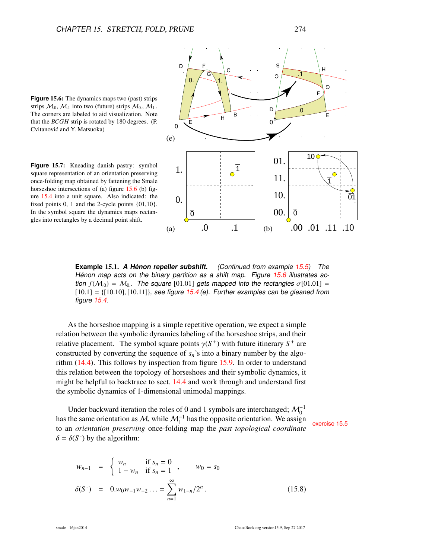

**Figure** 15.7: Kneading danish pastry: symbol square representation of an orientation preserving once-folding map obtained by fattening the Smale horseshoe intersections of (a) figure  $15.6$  (b) figure 15.4 into a unit square. Also indicated: the fixed points  $\overline{0}$ ,  $\overline{1}$  and the 2-cycle points  $\{\overline{01},\overline{10}\}$ . In the symbol square the dynamics maps rectangles into rectangles by a decimal point shift.



**Example 15.1. A Hénon repeller subshift.** (Continued from example 15.5) The Hénon map acts on the binary partition as a shift map. Figure 15.6 illustrates action  $f(M_0) = M_0$ . The square [01.01] gets mapped into the rectangles  $\sigma$ [01.01] = [10.11] = [10.11] see figure 15.4(e). Further examples can be gleaned from  $[10.1] = \{[10.10], [10.11]\}$ , see figure 15.4 (e). Further examples can be gleaned from figure 15.4.

As the horseshoe mapping is a simple repetitive operation, we expect a simple relation between the symbolic dynamics labeling of the horseshoe strips, and their relative placement. The symbol square points  $\gamma(S^+)$  with future itinerary  $S^+$  are<br>constructed by converting the sequence of s  $\gamma$  into a binary number by the algoconstructed by converting the sequence of  $s_n$ 's into a binary number by the algorithm  $(14.4)$ . This follows by inspection from figure 15.9. In order to understand this relation between the topology of horseshoes and their symbolic dynamics, it might be helpful to backtrace to sect. 14.4 and work through and understand first the symbolic dynamics of 1-dimensional unimodal mappings.

Under backward iteration the roles of 0 and 1 symbols are interchanged;  $\mathcal{M}_0^{-1}$ has the same orientation as M, while  $\mathcal{M}_1^{-1}$  has the opposite orientation. We assign exercise 15.5 to an *orientation preserving* once-folding map the *past topological coordinate*  $\delta = \delta(S^-)$  by the algorithm:

$$
w_{n-1} = \begin{cases} w_n & \text{if } s_n = 0 \\ 1 - w_n & \text{if } s_n = 1 \end{cases}, \qquad w_0 = s_0
$$
  

$$
\delta(S^-) = 0.w_0w_{-1}w_{-2}... = \sum_{n=1}^{\infty} w_{1-n}/2^n.
$$
 (15.8)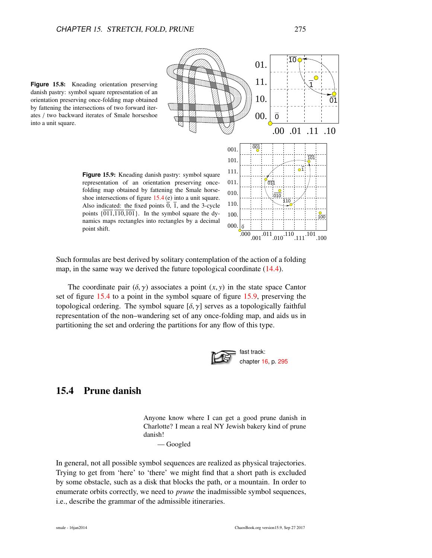

Figure 15.9: Kneading danish pastry: symbol square representation of an orientation preserving oncefolding map obtained by fattening the Smale horseshoe intersections of figure 15.4 (e) into a unit square. Also indicated: the fixed points  $\overline{0}$ ,  $\overline{1}$ , and the 3-cycle points  $\{\overline{011},\overline{110},\overline{101}\}$ . In the symbol square the dynamics maps rectangles into rectangles by a decimal point shift.



Such formulas are best derived by solitary contemplation of the action of a folding map, in the same way we derived the future topological coordinate (14.4).

The coordinate pair  $(\delta, \gamma)$  associates a point  $(x, y)$  in the state space Cantor set of figure 15.4 to a point in the symbol square of figure 15.9, preserving the topological ordering. The symbol square  $[\delta, \gamma]$  serves as a topologically faithful representation of the non–wandering set of any once-folding map, and aids us in partitioning the set and ordering the partitions for any flow of this type.



### 15.4 Prune danish

Anyone know where I can get a good prune danish in Charlotte? I mean a real NY Jewish bakery kind of prune danish!

— Googled

In general, not all possible symbol sequences are realized as physical trajectories. Trying to get from 'here' to 'there' we might find that a short path is excluded by some obstacle, such as a disk that blocks the path, or a mountain. In order to enumerate orbits correctly, we need to *prune* the inadmissible symbol sequences, i.e., describe the grammar of the admissible itineraries.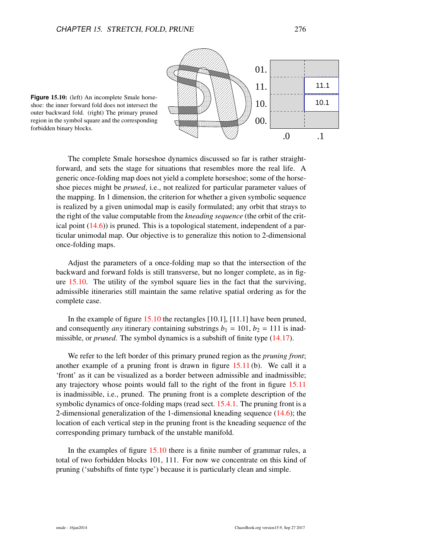

Figure 15.10: (left) An incomplete Smale horseshoe: the inner forward fold does not intersect the outer backward fold. (right) The primary pruned region in the symbol square and the corresponding forbidden binary blocks.

The complete Smale horseshoe dynamics discussed so far is rather straightforward, and sets the stage for situations that resembles more the real life. A generic once-folding map does not yield a complete horseshoe; some of the horseshoe pieces might be *pruned*, i.e., not realized for particular parameter values of the mapping. In 1 dimension, the criterion for whether a given symbolic sequence is realized by a given unimodal map is easily formulated; any orbit that strays to the right of the value computable from the *kneading sequence* (the orbit of the critical point (14.6)) is pruned. This is a topological statement, independent of a particular unimodal map. Our objective is to generalize this notion to 2-dimensional once-folding maps.

Adjust the parameters of a once-folding map so that the intersection of the backward and forward folds is still transverse, but no longer complete, as in figure 15.10. The utility of the symbol square lies in the fact that the surviving, admissible itineraries still maintain the same relative spatial ordering as for the complete case.

In the example of figure 15.10 the rectangles [10.1], [11.1] have been pruned, and consequently *any* itinerary containing substrings  $b_1 = 101$ ,  $b_2 = 111$  is inadmissible, or *pruned*. The symbol dynamics is a subshift of finite type (14.17).

We refer to the left border of this primary pruned region as the *pruning front*; another example of a pruning front is drawn in figure 15.11 (b). We call it a 'front' as it can be visualized as a border between admissible and inadmissible; any trajectory whose points would fall to the right of the front in figure 15.11 is inadmissible, i.e., pruned. The pruning front is a complete description of the symbolic dynamics of once-folding maps (read sect. 15.4.1. The pruning front is a 2-dimensional generalization of the 1-dimensional kneading sequence (14.6); the location of each vertical step in the pruning front is the kneading sequence of the corresponding primary turnback of the unstable manifold.

In the examples of figure 15.10 there is a finite number of grammar rules, a total of two forbidden blocks 101, 111. For now we concentrate on this kind of pruning ('subshifts of finte type') because it is particularly clean and simple.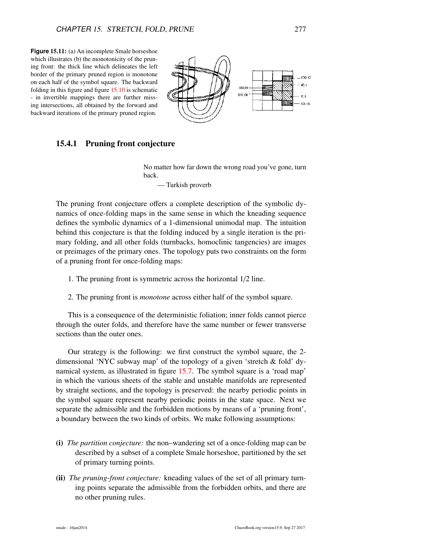**Figure 15.11:** (a) An incomplete Smale horseshoe which illustrates (b) the monotonicity of the pruning front: the thick line which delineates the left border of the primary pruned region is monotone on each half of the symbol square. The backward folding in this figure and figure 15.10 is schematic - in invertible mappings there are further missing intersections, all obtained by the forward and backward iterations of the primary pruned region.



#### 15.4.1 Pruning front conjecture

No matter how far down the wrong road you've gone, turn back.

— Turkish proverb

The pruning front conjecture offers a complete description of the symbolic dynamics of once-folding maps in the same sense in which the kneading sequence defines the symbolic dynamics of a 1-dimensional unimodal map. The intuition behind this conjecture is that the folding induced by a single iteration is the primary folding, and all other folds (turnbacks, homoclinic tangencies) are images or preimages of the primary ones. The topology puts two constraints on the form of a pruning front for once-folding maps:

- 1. The pruning front is symmetric across the horizontal 1/2 line.
- 2. The pruning front is *monotone* across either half of the symbol square.

This is a consequence of the deterministic foliation; inner folds cannot pierce through the outer folds, and therefore have the same number or fewer transverse sections than the outer ones.

Our strategy is the following: we first construct the symbol square, the 2 dimensional 'NYC subway map' of the topology of a given 'stretch & fold' dynamical system, as illustrated in figure 15.7. The symbol square is a 'road map' in which the various sheets of the stable and unstable manifolds are represented by straight sections, and the topology is preserved: the nearby periodic points in the symbol square represent nearby periodic points in the state space. Next we separate the admissible and the forbidden motions by means of a 'pruning front', a boundary between the two kinds of orbits. We make following assumptions:

- (i) *The partition conjecture:* the non–wandering set of a once-folding map can be described by a subset of a complete Smale horseshoe, partitioned by the set of primary turning points.
- (ii) *The pruning-front conjecture:* kneading values of the set of all primary turning points separate the admissible from the forbidden orbits, and there are no other pruning rules.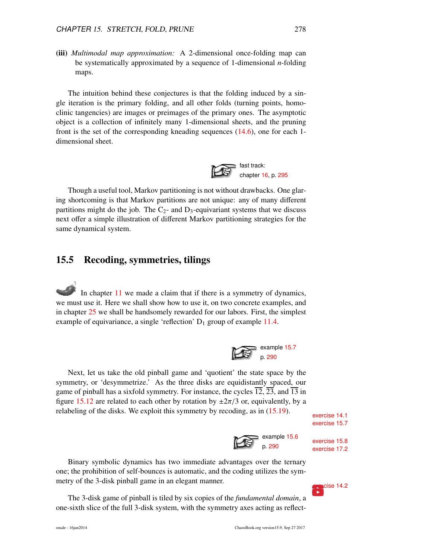(iii) *Multimodal map approximation:* A 2-dimensional once-folding map can be systematically approximated by a sequence of 1-dimensional *n*-folding maps.

The intuition behind these conjectures is that the folding induced by a single iteration is the primary folding, and all other folds (turning points, homoclinic tangencies) are images or preimages of the primary ones. The asymptotic object is a collection of infinitely many 1-dimensional sheets, and the pruning front is the set of the corresponding kneading sequences (14.6), one for each 1 dimensional sheet.



Though a useful tool, Markov partitioning is not without drawbacks. One glaring shortcoming is that Markov partitions are not unique: any of many different partitions might do the job. The  $C_2$ - and  $D_3$ -equivariant systems that we discuss next offer a simple illustration of different Markov partitioning strategies for the same dynamical system.

#### 15.5 Recoding, symmetries, tilings

In chapter 11 we made a claim that if there is a symmetry of dynamics, we must use it. Here we shall show how to use it, on two concrete examples, and in chapter 25 we shall be handsomely rewarded for our labors. First, the simplest example of equivariance, a single 'reflection'  $D_1$  group of example 11.4.



Next, let us take the old pinball game and 'quotient' the state space by the symmetry, or 'desymmetrize.' As the three disks are equidistantly spaced, our game of pinball has a sixfold symmetry. For instance, the cycles 12, 23, and 13 in figure 15.12 are related to each other by rotation by  $\pm 2\pi/3$  or, equivalently, by a relabeling of the disks. We exploit this symmetry by recoding, as in  $(15.19)$ .

exercise 15.7



exercise 15.8 exercise 17.2

Binary symbolic dynamics has two immediate advantages over the ternary one; the prohibition of self-bounces is automatic, and the coding utilizes the symmetry of the 3-disk pinball game in an elegant manner.

The 3-disk game of pinball is tiled by six copies of the *fundamental domain*, a one-sixth slice of the full 3-disk system, with the symmetry axes acting as reflect-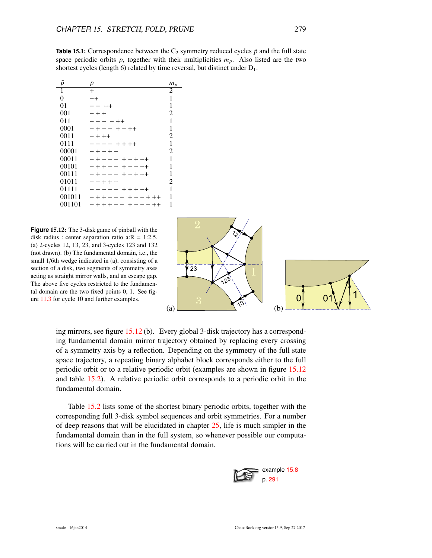**Table 15.1:** Correspondence between the  $C_2$  symmetry reduced cycles  $\tilde{p}$  and the full state space periodic orbits  $p$ , together with their multiplicities  $m_p$ . Also listed are the two shortest cycles (length 6) related by time reversal, but distinct under  $D_1$ .

|          | p                                            | $m_p$          |
|----------|----------------------------------------------|----------------|
| 1        | $^{+}$                                       | 2              |
| $\theta$ | -+                                           | 1              |
| 01       | $+ +$                                        | 1              |
| 001      | $+ +$                                        | $\overline{c}$ |
| 011      | $+ + +$                                      | 1              |
| 0001     | $+ - + +$<br>- +<br>$\overline{\phantom{0}}$ | 1              |
| 0011     | $- + + +$                                    | 2              |
| 0111     | $++++$                                       | 1              |
| 00001    | $+-+$                                        | 2              |
| 00011    | $- + + +$<br>$-+$<br>$- -$<br>$^{+}$         | 1              |
| 00101    | $- + +$<br>$- - + +$<br>$^{+}$               | 1              |
| 00111    | $+ - + + +$<br>$^{+}$                        | 1              |
| 01011    | $- + + +$                                    | 2              |
| 01111    | $+ + + + +$                                  | 1              |
| 001011   | $- + +$<br>$- - + + +$<br>$\pm$              | 1              |
| 001101   | $++$<br>$^{++}$                              | 1              |

**Figure 15.12:** The 3-disk game of pinball with the disk radius : center separation ratio a: $R = 1:2.5$ . (a) 2-cycles  $\overline{12}$ ,  $\overline{13}$ ,  $\overline{23}$ , and 3-cycles  $\overline{123}$  and  $\overline{132}$ (not drawn). (b) The fundamental domain, i.e., the small 1/6th wedge indicated in (a), consisting of a section of a disk, two segments of symmetry axes acting as straight mirror walls, and an escape gap. The above five cycles restricted to the fundamental domain are the two fixed points  $\overline{0}$ ,  $\overline{1}$ . See figure  $11.3$  for cycle  $\overline{10}$  and further examples.



ing mirrors, see figure 15.12 (b). Every global 3-disk trajectory has a corresponding fundamental domain mirror trajectory obtained by replacing every crossing of a symmetry axis by a reflection. Depending on the symmetry of the full state space trajectory, a repeating binary alphabet block corresponds either to the full periodic orbit or to a relative periodic orbit (examples are shown in figure 15.12 and table 15.2). A relative periodic orbit corresponds to a periodic orbit in the fundamental domain.

Table 15.2 lists some of the shortest binary periodic orbits, together with the corresponding full 3-disk symbol sequences and orbit symmetries. For a number of deep reasons that will be elucidated in chapter  $25$ , life is much simpler in the fundamental domain than in the full system, so whenever possible our computations will be carried out in the fundamental domain.

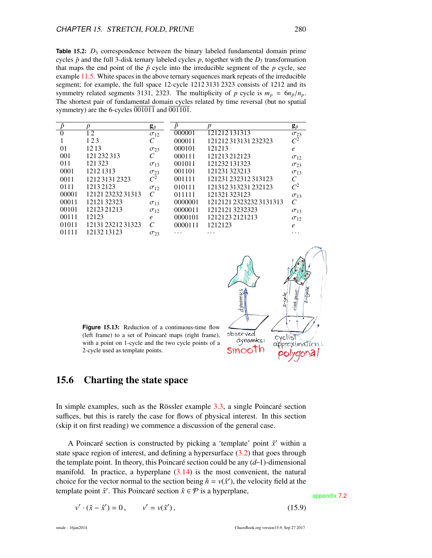**Table 15.2:**  $D_3$  correspondence between the binary labeled fundamental domain prime cycles  $\tilde{p}$  and the full 3-disk ternary labeled cycles p, together with the  $D_3$  transformation that maps the end point of the  $\tilde{p}$  cycle into the irreducible segment of the  $p$  cycle, see example 11.5. White spaces in the above ternary sequences mark repeats of the irreducible segment; for example, the full space 12-cycle 1212 3131 2323 consists of 1212 and its symmetry related segments 3131, 2323. The multiplicity of *p* cycle is  $m_p = 6n_p/n_p$ . The shortest pair of fundamental domain cycles related by time reversal (but no spatial symmetry) are the 6-cycles 001011 and 001101.

| $\overline{\widetilde{p}}$ | p                 | $\mathbf{g}_{\tilde{p}}$ | D       | p                       | $\mathbf{g}_{\tilde{p}}$ |
|----------------------------|-------------------|--------------------------|---------|-------------------------|--------------------------|
| $\Omega$                   | 12                | $\sigma_{12}$            | 000001  | 121212131313            | $\sigma_{23}$            |
|                            | 123               |                          | 000011  | 121212313131232323      | $C^2$                    |
| 01                         | 1213              | $\sigma_{23}$            | 000101  | 121213                  | $\boldsymbol{e}$         |
| 001                        | 121 232 313       | C                        | 000111  | 121213212123            | $\sigma_{12}$            |
| 011                        | 121323            | $\sigma_{13}$            | 001011  | 121232 131323           | $\sigma_{23}$            |
| 0001                       | 12121313          | $\sigma_{23}$            | 001101  | 121231323213            | $\sigma_{13}$            |
| 0011                       | 121231312323      | $C^2$                    | 001111  | 121231 232312 313123    | C                        |
| 0111                       | 12132123          | $\sigma_{12}$            | 010111  | 121312313231232123      | $C^2$                    |
| 00001                      | 12121 23232 31313 | C                        | 011111  | 121321323123            | $\sigma_{13}$            |
| 00011                      | 1212132323        | $\sigma_{13}$            | 0000001 | 1212121 2323232 3131313 | C                        |
| 00101                      | 1212321213        | $\sigma_{12}$            | 0000011 | 12121213232323          | $\sigma_{13}$            |
| 00111                      | 12123             | $\boldsymbol{e}$         | 0000101 | 12121232121213          | $\sigma_{12}$            |
| 01011                      | 12131 23212 31323 | $\mathcal{C}$            | 0000111 | 1212123                 | $\boldsymbol{\rho}$      |
| 01111                      | 1213213123        | $\sigma_{23}$            |         |                         |                          |
|                            |                   |                          |         |                         |                          |



**Figure 15.13:** Reduction of a continuous-time flow (left frame) to a set of Poincaré maps (right frame), with a point on 1-cycle and the two cycle points of a 2-cycle used as template points.

## 15.6 Charting the state space

In simple examples, such as the Rössler example 3.3, a single Poincaré section suffices, but this is rarely the case for flows of physical interest. In this section (skip it on first reading) we commence a discussion of the general case.

A Poincaré section is constructed by picking a 'template' point  $\hat{x}'$  within a state space region of interest, and defining a hypersurface  $(3.2)$  that goes through the template point. In theory, this Poincaré section could be any (*d*−1)-dimensional manifold. In practice, a hyperplane  $(3.14)$  is the most convenient, the natural choice for the vector normal to the section being  $\hat{n} = v(\hat{x}')$ , the velocity field at the template point  $\hat{x}'$ . This Poincaré section  $\hat{x} \in \mathcal{P}$  is a hyperplane, appendix 7.2

$$
v' \cdot (\hat{x} - \hat{x}') = 0, \qquad v' = v(\hat{x}'),
$$

 $(15.9)$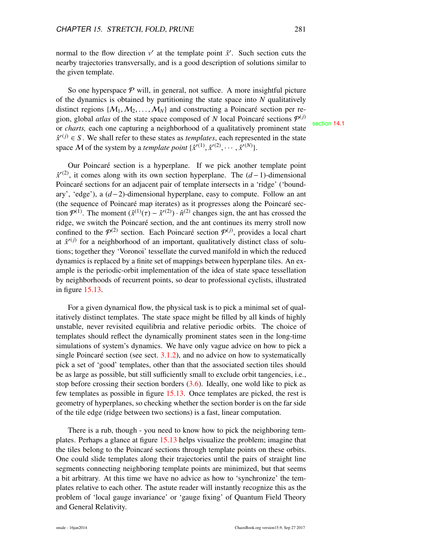normal to the flow direction  $v'$  at the template point  $\hat{x}'$ . Such section cuts the nearby trajectories transversally, and is a good description of solutions similar to the given template.

So one hyperspace  $P$  will, in general, not suffice. A more insightful picture of the dynamics is obtained by partitioning the state space into *N* qualitatively distinct regions  $\{M_1, M_2, \ldots, M_N\}$  and constructing a Poincaré section per region, global *atlas* of the state space composed of *N* local Poincaré sections  $P^{(j)}$ or *charts,* each one capturing a neighborhood of a qualitatively prominent state  $\hat{x}'^{(j)} \in S$ . We shall refer to these states as *templates*, each represented in the state space *M* of the system by a *template point*  $\{\hat{x}'^{(1)}, \hat{x}'^{(2)}, \dots, \hat{x}'^{(N)}\}$ .

Our Poincaré section is a hyperplane. If we pick another template point  $\hat{x}^{(2)}$ , it comes along with its own section hyperplane. The  $(d-1)$ -dimensional Poincaré sections for an adjacent pair of template intersects in a 'ridge' ('boundary', 'edge'), a (*d*−2)-dimensional hyperplane, easy to compute. Follow an ant (the sequence of Poincaré map iterates) as it progresses along the Poincaré section  $\mathcal{P}^{(1)}$ . The moment  $(\hat{x}^{(1)}(\tau) - \hat{x}^{(2)}) \cdot \hat{n}^{(2)}$  changes sign, the ant has crossed the ridge we switch the Poincaré section, and the ant continues its merry stroll now ridge, we switch the Poincaré section, and the ant continues its merry stroll now confined to the  $\mathcal{P}^{(2)}$  section. Each Poincaré section  $\mathcal{P}^{(j)}$ , provides a local chart at  $\hat{x}'^{(j)}$  for a neighborhood of an important, qualitatively distinct class of solutions; together they 'Voronoi' tessellate the curved manifold in which the reduced dynamics is replaced by a finite set of mappings between hyperplane tiles. An example is the periodic-orbit implementation of the idea of state space tessellation by neighborhoods of recurrent points, so dear to professional cyclists, illustrated in figure 15.13.

For a given dynamical flow, the physical task is to pick a minimal set of qualitatively distinct templates. The state space might be filled by all kinds of highly unstable, never revisited equilibria and relative periodic orbits. The choice of templates should reflect the dynamically prominent states seen in the long-time simulations of system's dynamics. We have only vague advice on how to pick a single Poincaré section (see sect.  $3.1.2$ ), and no advice on how to systematically pick a set of 'good' templates, other than that the associated section tiles should be as large as possible, but still sufficiently small to exclude orbit tangencies, i.e., stop before crossing their section borders (3.6). Ideally, one wold like to pick as few templates as possible in figure 15.13. Once templates are picked, the rest is geometry of hyperplanes, so checking whether the section border is on the far side of the tile edge (ridge between two sections) is a fast, linear computation.

There is a rub, though - you need to know how to pick the neighboring templates. Perhaps a glance at figure 15.13 helps visualize the problem; imagine that the tiles belong to the Poincaré sections through template points on these orbits. One could slide templates along their trajectories until the pairs of straight line segments connecting neighboring template points are minimized, but that seems a bit arbitrary. At this time we have no advice as how to 'synchronize' the templates relative to each other. The astute reader will instantly recognize this as the problem of 'local gauge invariance' or 'gauge fixing' of Quantum Field Theory and General Relativity.

section 14.1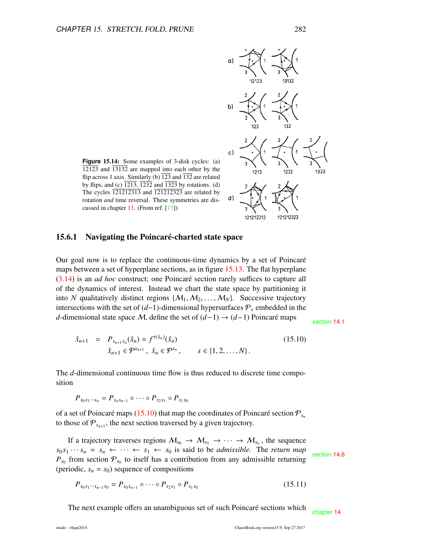

**Figure** 15.14: Some examples of 3-disk cycles: (a) 12123 and 13132 are mapped into each other by the flip across 1 axis. Similarly (b)  $\overline{123}$  and  $\overline{132}$  are related by flips, and (c)  $\overline{1213}$ ,  $\overline{1232}$  and  $\overline{1323}$  by rotations. (d) The cycles  $\overline{121212313}$  and  $\overline{121212323}$  are related by rotation *and* time reversal. These symmetries are discussed in chapter 11. (From ref. [13])

#### 15.6.1 Navigating the Poincaré-charted state space

Our goal now is to replace the continuous-time dynamics by a set of Poincaré maps between a set of hyperplane sections, as in figure 15.13. The flat hyperplane (3.14) is an *ad hoc* construct; one Poincaré section rarely suffices to capture all of the dynamics of interest. Instead we chart the state space by partitioning it into *N* qualitatively distinct regions  $\{M_1, M_2, \ldots, M_N\}$ . Successive trajectory intersections with the set of  $(d-1)$ -dimensional hypersurfaces  $P_s$  embedded in the *d*-dimensional state space M, define the set of  $(d-1) \rightarrow (d-1)$  Poincaré maps section 14.1

$$
\hat{x}_{n+1} = P_{s_{n+1}s_n}(\hat{x}_n) = f^{\tau(\hat{x}_n)}(\hat{x}_n)
$$
\n
$$
\hat{x}_{n+1} \in \mathcal{P}^{s_{n+1}}, \ \hat{x}_n \in \mathcal{P}^{s_n}, \qquad s \in \{1, 2, ..., N\}.
$$
\n(15.10)

The *d*-dimensional continuous time flow is thus reduced to discrete time composition

$$
P_{s_0s_1\cdots s_n} = P_{s_ns_{n-1}} \circ \cdots \circ P_{s_2s_1} \circ P_{s_1s_0}
$$

of a set of Poincaré maps (15.10) that map the coordinates of Poincaré section  $P_{s_n}$ to those of  $P_{s_{n+1}}$ , the next section traversed by a given trajectory.

If a trajectory traverses regions  $M_{s_0} \to M_{s_1} \to \cdots \to M_{s_n}$ , the sequence  $s_0 s_1 \cdots s_n = s_n \leftarrow \cdots \leftarrow s_1 \leftarrow s_0$  is said to be *admissible*. The *return map* section 14.6  $P_{s_0}$  from section  $P_{s_0}$  to itself has a contribution from any admissible returning (periodic,  $s_n = s_0$ ) sequence of compositions

$$
P_{s_0 s_1 \cdots s_{n-1} s_0} = P_{s_0 s_{n-1}} \circ \cdots \circ P_{s_2 s_1} \circ P_{s_1 s_0} \tag{15.11}
$$

The next example offers an unambiguous set of such Poincaré sections which chapter 14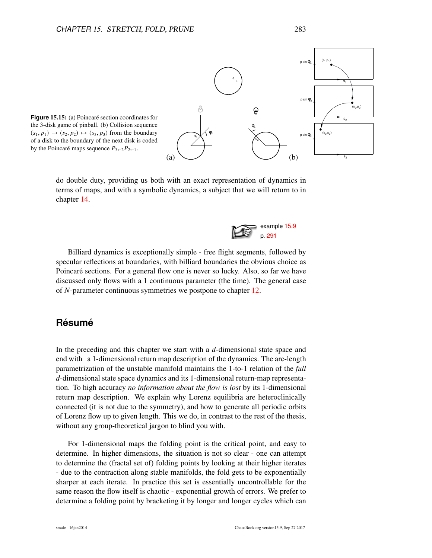

do double duty, providing us both with an exact representation of dynamics in terms of maps, and with a symbolic dynamics, a subject that we will return to in chapter 14.



Billiard dynamics is exceptionally simple - free flight segments, followed by specular reflections at boundaries, with billiard boundaries the obvious choice as Poincaré sections. For a general flow one is never so lucky. Also, so far we have discussed only flows with a 1 continuous parameter (the time). The general case of *N*-parameter continuous symmetries we postpone to chapter 12.

#### **Résumé**

In the preceding and this chapter we start with a *d*-dimensional state space and end with a 1-dimensional return map description of the dynamics. The arc-length parametrization of the unstable manifold maintains the 1-to-1 relation of the *full d*-dimensional state space dynamics and its 1-dimensional return-map representation. To high accuracy *no information about the flow is lost* by its 1-dimensional return map description. We explain why Lorenz equilibria are heteroclinically connected (it is not due to the symmetry), and how to generate all periodic orbits of Lorenz flow up to given length. This we do, in contrast to the rest of the thesis, without any group-theoretical jargon to blind you with.

For 1-dimensional maps the folding point is the critical point, and easy to determine. In higher dimensions, the situation is not so clear - one can attempt to determine the (fractal set of) folding points by looking at their higher iterates - due to the contraction along stable manifolds, the fold gets to be exponentially sharper at each iterate. In practice this set is essentially uncontrollable for the same reason the flow itself is chaotic - exponential growth of errors. We prefer to determine a folding point by bracketing it by longer and longer cycles which can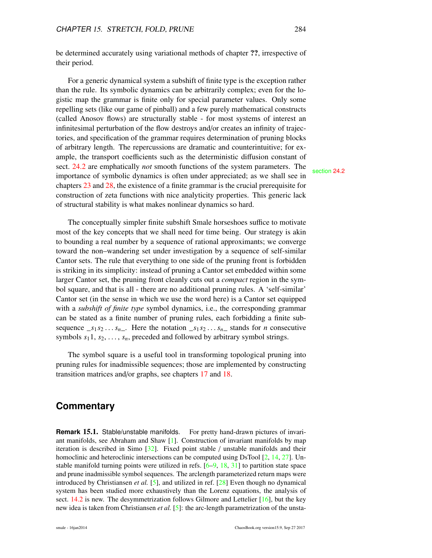be determined accurately using variational methods of chapter ??, irrespective of their period.

For a generic dynamical system a subshift of finite type is the exception rather than the rule. Its symbolic dynamics can be arbitrarily complex; even for the logistic map the grammar is finite only for special parameter values. Only some repelling sets (like our game of pinball) and a few purely mathematical constructs (called Anosov flows) are structurally stable - for most systems of interest an infinitesimal perturbation of the flow destroys and/or creates an infinity of trajectories, and specification of the grammar requires determination of pruning blocks of arbitrary length. The repercussions are dramatic and counterintuitive; for example, the transport coefficients such as the deterministic diffusion constant of sect. 24.2 are emphatically *not* smooth functions of the system parameters. The section 24.2 importance of symbolic dynamics is often under appreciated; as we shall see in chapters 23 and 28, the existence of a finite grammar is the crucial prerequisite for construction of zeta functions with nice analyticity properties. This generic lack of structural stability is what makes nonlinear dynamics so hard.

The conceptually simpler finite subshift Smale horseshoes suffice to motivate most of the key concepts that we shall need for time being. Our strategy is akin to bounding a real number by a sequence of rational approximants; we converge toward the non–wandering set under investigation by a sequence of self-similar Cantor sets. The rule that everything to one side of the pruning front is forbidden is striking in its simplicity: instead of pruning a Cantor set embedded within some larger Cantor set, the pruning front cleanly cuts out a *compact* region in the symbol square, and that is all - there are no additional pruning rules. A 'self-similar' Cantor set (in the sense in which we use the word here) is a Cantor set equipped with a *subshift of finite type* symbol dynamics, i.e., the corresponding grammar can be stated as a finite number of pruning rules, each forbidding a finite subsequence  $s_1 s_2 \ldots s_n$ . Here the notation  $s_1 s_2 \ldots s_n$  stands for *n* consecutive symbols  $s_1$ 1,  $s_2$ , ...,  $s_n$ , preceded and followed by arbitrary symbol strings.

The symbol square is a useful tool in transforming topological pruning into pruning rules for inadmissible sequences; those are implemented by constructing transition matrices and/or graphs, see chapters 17 and 18.

### **Commentary**

**Remark** 15.1. Stable/unstable manifolds. For pretty hand-drawn pictures of invariant manifolds, see Abraham and Shaw [1]. Construction of invariant manifolds by map iteration is described in Simo [32]. Fixed point stable / unstable manifolds and their homoclinic and heteroclinic intersections can be computed using DsTool [2, 14, 27]. Unstable manifold turning points were utilized in refs.  $[6-9, 18, 31]$  to partition state space and prune inadmissible symbol sequences. The arclength parameterized return maps were introduced by Christiansen *et al.* [5], and utilized in ref. [28] Even though no dynamical system has been studied more exhaustively than the Lorenz equations, the analysis of sect. 14.2 is new. The desymmetrization follows Gilmore and Lettelier  $[16]$ , but the key new idea is taken from Christiansen *et al.* [5]: the arc-length parametrization of the unsta-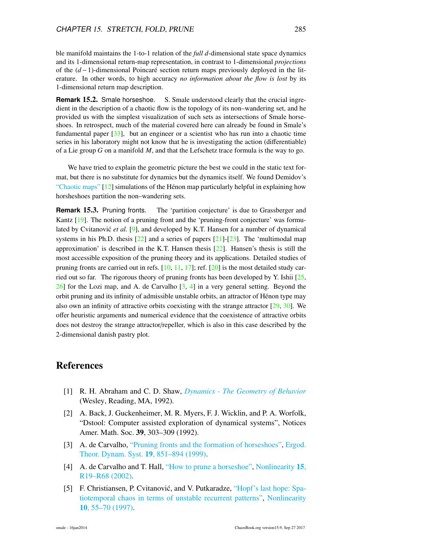ble manifold maintains the 1-to-1 relation of the *full d*-dimensional state space dynamics and its 1-dimensional return-map representation, in contrast to 1-dimensional *projections* of the (*d*−1)-dimensional Poincaré section return maps previously deployed in the literature. In other words, to high accuracy *no information about the flow is lost* by its 1-dimensional return map description.

**Remark 15.2.** Smale horseshoe. S. Smale understood clearly that the crucial ingredient in the description of a chaotic flow is the topology of its non–wandering set, and he provided us with the simplest visualization of such sets as intersections of Smale horseshoes. In retrospect, much of the material covered here can already be found in Smale's fundamental paper [33], but an engineer or a scientist who has run into a chaotic time series in his laboratory might not know that he is investigating the action (differentiable) of a Lie group *G* on a manifold *M*, and that the Lefschetz trace formula is the way to go.

We have tried to explain the geometric picture the best we could in the static text format, but there is no substitute for dynamics but the dynamics itself. We found Demidov's ["Chaotic maps"](http://www.ibiblio.org/e-notes/Chaos/contents.htm) [12] simulations of the Hénon map particularly helpful in explaining how horsheshoes partition the non–wandering sets.

**Remark** 15.3. Pruning fronts. The 'partition conjecture' is due to Grassberger and Kantz [19]. The notion of a pruning front and the 'pruning-front conjecture' was formulated by Cvitanović *et al.* [9], and developed by K.T. Hansen for a number of dynamical systems in his Ph.D. thesis  $[22]$  and a series of papers  $[21]$ - $[23]$ . The 'multimodal map approximation' is described in the K.T. Hansen thesis  $[22]$ . Hansen's thesis is still the most accessible exposition of the pruning theory and its applications. Detailed studies of pruning fronts are carried out in refs.  $[10, 11, 17]$ ; ref.  $[20]$  is the most detailed study carried out so far. The rigorous theory of pruning fronts has been developed by Y. Ishii [25, 26] for the Lozi map, and A. de Carvalho [3, 4] in a very general setting. Beyond the orbit pruning and its infinity of admissible unstable orbits, an attractor of Hénon type may also own an infinity of attractive orbits coexisting with the strange attractor [29, 30]. We offer heuristic arguments and numerical evidence that the coexistence of attractive orbits does not destroy the strange attractor/repeller, which is also in this case described by the 2-dimensional danish pastry plot.

#### References

- [1] R. H. Abraham and C. D. Shaw, *[Dynamics The Geometry of Behavior](http://books.google.com/books?vid=ISBN978-0201567175)* (Wesley, Reading, MA, 1992).
- [2] A. Back, J. Guckenheimer, M. R. Myers, F. J. Wicklin, and P. A. Worfolk, "Dstool: Computer assisted exploration of dynamical systems", Notices Amer. Math. Soc. 39, 303–309 (1992).
- [3] A. de Carvalho, ["Pruning fronts and the formation of horseshoes",](http://dx.doi.org/10.1017/S0143385799133972) [Ergod.](http://dx.doi.org/10.1017/S0143385799133972) [Theor. Dynam. Syst.](http://dx.doi.org/10.1017/S0143385799133972) 19, 851–894 (1999).
- [4] A. de Carvalho and T. Hall, ["How to prune a horseshoe",](http://dx.doi.org/10.1088/0951-7715/15/3/201) [Nonlinearity](http://dx.doi.org/10.1088/0951-7715/15/3/201) 15, [R19–R68 \(2002\).](http://dx.doi.org/10.1088/0951-7715/15/3/201)
- [5] F. Christiansen, P. Cvitanović, and V. Putkaradze, ["Hopf's last hope: Spa](http://dx.doi.org/10.1088/0951-7715/10/1/004)[tiotemporal chaos in terms of unstable recurrent patterns",](http://dx.doi.org/10.1088/0951-7715/10/1/004) [Nonlinearity](http://dx.doi.org/10.1088/0951-7715/10/1/004) 10[, 55–70 \(1997\).](http://dx.doi.org/10.1088/0951-7715/10/1/004)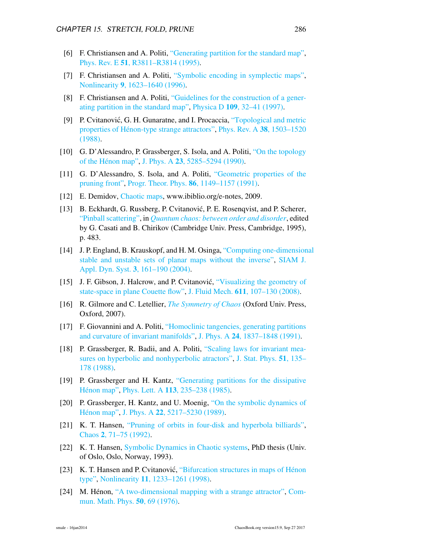- [6] F. Christiansen and A. Politi, ["Generating partition for the standard map",](http://dx.doi.org/10.1103/PhysRevE.51.R3811) Phys. Rev. E 51[, R3811–R3814 \(1995\).](http://dx.doi.org/10.1103/PhysRevE.51.R3811)
- [7] F. Christiansen and A. Politi, ["Symbolic encoding in symplectic maps",](http://dx.doi.org/10.1088/0951-7715/9/6/014) Nonlinearity 9[, 1623–1640 \(1996\).](http://dx.doi.org/10.1088/0951-7715/9/6/014)
- [8] F. Christiansen and A. Politi, ["Guidelines for the construction of a gener](http://dx.doi.org/10.1016/S0167-2789(97)00156-5)[ating partition in the standard map",](http://dx.doi.org/10.1016/S0167-2789(97)00156-5) Physica D 109[, 32–41 \(1997\).](http://dx.doi.org/10.1016/S0167-2789(97)00156-5)
- [9] P. Cvitanović, G. H. Gunaratne, and I. Procaccia, ["Topological and metric](http://dx.doi.org/10.1103/PhysRevA.38.1503) [properties of Hénon-type strange attractors",](http://dx.doi.org/10.1103/PhysRevA.38.1503) [Phys. Rev. A](http://dx.doi.org/10.1103/PhysRevA.38.1503) 38, 1503–1520 [\(1988\).](http://dx.doi.org/10.1103/PhysRevA.38.1503)
- [10] G. D'Alessandro, P. Grassberger, S. Isola, and A. Politi, ["On the topology](http://dx.doi.org/10.1088/0305-4470/23/22/017) [of the Hénon map",](http://dx.doi.org/10.1088/0305-4470/23/22/017) J. Phys. A 23[, 5285–5294 \(1990\).](http://dx.doi.org/10.1088/0305-4470/23/22/017)
- [11] G. D'Alessandro, S. Isola, and A. Politi, ["Geometric properties of the](http://dx.doi.org/10.1143/ptp/86.6.1149) [pruning front",](http://dx.doi.org/10.1143/ptp/86.6.1149) Progr. Theor. Phys. 86[, 1149–1157 \(1991\).](http://dx.doi.org/10.1143/ptp/86.6.1149)
- [12] E. Demidov, [Chaotic maps,](http://www.ibiblio.org/e-notes/Chaos/contents.htm) www.ibiblio.org/e-notes, 2009.
- [13] B. Eckhardt, G. Russberg, P. Cvitanović, P. E. Rosenqvist, and P. Scherer, ["Pinball scattering",](http://chaosbook.org/~predrag/papers/preprints.html#CERRS) in *[Quantum chaos: between order and disorder](http://chaosbook.org/~predrag/papers/preprints.html#CERRS)*, edited by G. Casati and B. Chirikov (Cambridge Univ. Press, Cambridge, 1995), p. 483.
- [14] J. P. England, B. Krauskopf, and H. M. Osinga, ["Computing one-dimension](http://dx.doi.org/10.1137/030600131)al [stable and unstable sets of planar maps without the inverse",](http://dx.doi.org/10.1137/030600131) [SIAM J.](http://dx.doi.org/10.1137/030600131) Appl. Dyn. Syst. 3[, 161–190 \(2004\).](http://dx.doi.org/10.1137/030600131)
- [15] J. F. Gibson, J. Halcrow, and P. Cvitanović, ["Visualizing the geometry of](http://dx.doi.org/10.1017/S002211200800267X) [state-space in plane Couette flow",](http://dx.doi.org/10.1017/S002211200800267X) J. Fluid Mech. 611[, 107–130 \(2008\).](http://dx.doi.org/10.1017/S002211200800267X)
- [16] R. Gilmore and C. Letellier, *[The Symmetry of Chaos](http://books.google.com/books?vid=ISBN9780195310658)* (Oxford Univ. Press, Oxford, 2007).
- [17] F. Giovannini and A. Politi, ["Homoclinic tangencies, generating partitions](http://dx.doi.org/10.1016/j.physd.2006.09.032) [and curvature of invariant manifolds",](http://dx.doi.org/10.1016/j.physd.2006.09.032) J. Phys. A 24[, 1837–1848 \(1991\).](http://dx.doi.org/10.1016/j.physd.2006.09.032)
- [18] P. Grassberger, R. Badii, and A. Politi, ["Scaling laws for invariant mea](http://dx.doi.org/10.1007/BF01015324)[sures on hyperbolic and nonhyperbolic atractors",](http://dx.doi.org/10.1007/BF01015324) [J. Stat. Phys.](http://dx.doi.org/10.1007/BF01015324) 51, 135– [178 \(1988\).](http://dx.doi.org/10.1007/BF01015324)
- [19] P. Grassberger and H. Kantz, ["Generating partitions for the dissipative](http://dx.doi.org/10.1016/0375-9601(85)90016-7) [Hénon map",](http://dx.doi.org/10.1016/0375-9601(85)90016-7) Phys. Lett. A 113[, 235–238 \(1985\).](http://dx.doi.org/10.1016/0375-9601(85)90016-7)
- [20] P. Grassberger, H. Kantz, and U. Moenig, ["On the symbolic dynamics of](http://dx.doi.org/10.1088/0305-4470/22/24/011) [Hénon map",](http://dx.doi.org/10.1088/0305-4470/22/24/011) J. Phys. A 22[, 5217–5230 \(1989\).](http://dx.doi.org/10.1088/0305-4470/22/24/011)
- [21] K. T. Hansen, ["Pruning of orbits in four-disk and hyperbola billiards",](http://dx.doi.org/10.1063/1.165900) Chaos 2[, 71–75 \(1992\).](http://dx.doi.org/10.1063/1.165900)
- [22] K. T. Hansen, [Symbolic Dynamics in Chaotic systems,](http://ChaosBook.org/projects/KTHansen/thesis) PhD thesis (Univ. of Oslo, Oslo, Norway, 1993).
- [23] K. T. Hansen and P. Cvitanović, ["Bifurcation structures in maps of Hénon](http://dx.doi.org/10.1088/0951-7715/11/5/004) [type",](http://dx.doi.org/10.1088/0951-7715/11/5/004) Nonlinearity 11[, 1233–1261 \(1998\).](http://dx.doi.org/10.1088/0951-7715/11/5/004)
- [24] M. Hénon, ["A two-dimensional mapping with a strange attractor",](http://dx.doi.org/10.1007/BF01608556) [Com](http://dx.doi.org/10.1007/BF01608556)[mun. Math. Phys.](http://dx.doi.org/10.1007/BF01608556) 50, 69 (1976).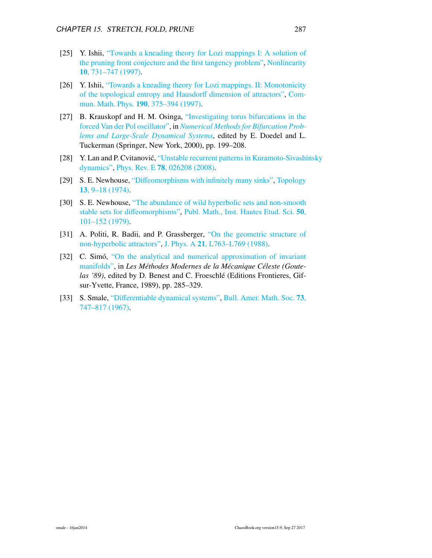- [25] Y. Ishii, ["Towards a kneading theory for Lozi mappings I: A solution of](http://dx.doi.org/10.1088/0951-7715/10/3/008) [the pruning front conjecture and the first tangency problem",](http://dx.doi.org/10.1088/0951-7715/10/3/008) [Nonlinearity](http://dx.doi.org/10.1088/0951-7715/10/3/008) 10[, 731–747 \(1997\).](http://dx.doi.org/10.1088/0951-7715/10/3/008)
- [26] Y. Ishii, ["Towards a kneading theory for Lozi mappings. II: Monotonicity](http://dx.doi.org/10.1007/s002200050245) [of the topological entropy and Hausdor](http://dx.doi.org/10.1007/s002200050245)ff dimension of attractors", [Com](http://dx.doi.org/10.1007/s002200050245)[mun. Math. Phys.](http://dx.doi.org/10.1007/s002200050245) 190, 375–394 (1997).
- [27] B. Krauskopf and H. M. Osinga, ["Investigating torus bifurcations in the](http://dx.doi.org/10.1007/978-1-4612-1208-9_9) [forced Van der Pol oscillator",](http://dx.doi.org/10.1007/978-1-4612-1208-9_9) in *[Numerical Methods for Bifurcation Prob](http://dx.doi.org/10.1007/978-1-4612-1208-9_9)[lems and Large-Scale Dynamical Systems](http://dx.doi.org/10.1007/978-1-4612-1208-9_9)*, edited by E. Doedel and L. Tuckerman (Springer, New York, 2000), pp. 199–208.
- [28] Y. Lan and P. Cvitanović, ["Unstable recurrent patterns in Kuramoto-Sivashi](http://dx.doi.org/10.1103/PhysRevE.78.026208)nsky [dynamics",](http://dx.doi.org/10.1103/PhysRevE.78.026208) Phys. Rev. E 78[, 026208 \(2008\).](http://dx.doi.org/10.1103/PhysRevE.78.026208)
- [29] S. E. Newhouse, "Diff[eomorphisms with infinitely many sinks",](http://dx.doi.org/10.1016/0040-9383(74)90034-2) [Topology](http://dx.doi.org/10.1016/0040-9383(74)90034-2) 13[, 9–18 \(1974\).](http://dx.doi.org/10.1016/0040-9383(74)90034-2)
- [30] S. E. Newhouse, ["The abundance of wild hyperbolic sets and non-smooth](http://dx.doi.org/10.1007/BF02684771) [stable sets for di](http://dx.doi.org/10.1007/BF02684771)ffeomorphisms", [Publ. Math., Inst. Hautes Etud. Sci.](http://dx.doi.org/10.1007/BF02684771) 50, [101–152 \(1979\).](http://dx.doi.org/10.1007/BF02684771)
- [31] A. Politi, R. Badii, and P. Grassberger, ["On the geometric structure of](http://dx.doi.org/10.1088/0305-4470/21/15/004) [non-hyperbolic attractors",](http://dx.doi.org/10.1088/0305-4470/21/15/004) J. Phys. A 21[, L763–L769 \(1988\).](http://dx.doi.org/10.1088/0305-4470/21/15/004)
- [32] C. Simó, ["On the analytical and numerical approximation of invariant](http://books.google.com/books?vid=ISBN9782863320914) [manifolds",](http://books.google.com/books?vid=ISBN9782863320914) in *Les Méthodes Modernes de la Mécanique Céleste (Goutelas '89)*, edited by D. Benest and C. Froeschlé (Editions Frontieres, Gifsur-Yvette, France, 1989), pp. 285–329.
- [33] S. Smale, "Diff[erentiable dynamical systems",](http://dx.doi.org/10.1090/S0002-9904-1967-11798-1) [Bull. Amer. Math. Soc.](http://dx.doi.org/10.1090/S0002-9904-1967-11798-1) 73, [747–817 \(1967\).](http://dx.doi.org/10.1090/S0002-9904-1967-11798-1)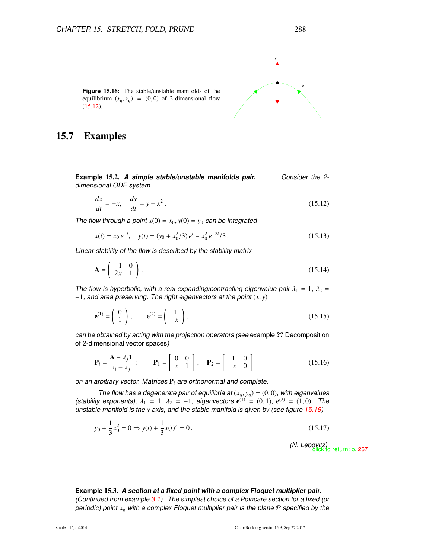

**Figure** 15.16: The stable/unstable manifolds of the equilibrium  $(x_q, x_q) = (0, 0)$  of 2-dimensional flow  $(15.12).$ 

#### 15.7 Examples

**Example 15.2. A simple stable/unstable manifolds pair.** Consider the 2dimensional ODE system

$$
\frac{dx}{dt} = -x, \quad \frac{dy}{dt} = y + x^2,
$$
\n(15.12)

The flow through a point  $x(0) = x_0$ ,  $y(0) = y_0$  can be integrated

$$
x(t) = x_0 e^{-t}, \quad y(t) = (y_0 + x_0^2/3) e^t - x_0^2 e^{-2t}/3.
$$
 (15.13)

Linear stability of the flow is described by the stability matrix

$$
\mathbf{A} = \begin{pmatrix} -1 & 0 \\ 2x & 1 \end{pmatrix} . \tag{15.14}
$$

The flow is hyperbolic, with a real expanding/contracting eigenvalue pair  $\lambda_1 = 1$ ,  $\lambda_2 =$ <sup>−</sup>1, and area preserving. The right eigenvectors at the point (*x*, *<sup>y</sup>*)

$$
\mathbf{e}^{(1)} = \begin{pmatrix} 0 \\ 1 \end{pmatrix}, \qquad \mathbf{e}^{(2)} = \begin{pmatrix} 1 \\ -x \end{pmatrix}.
$$
 (15.15)

can be obtained by acting with the projection operators (see example ?? Decomposition of 2-dimensional vector spaces)

$$
\mathbf{P}_i = \frac{\mathbf{A} - \lambda_j \mathbf{1}}{\lambda_i - \lambda_j} : \qquad \mathbf{P}_1 = \begin{bmatrix} 0 & 0 \\ x & 1 \end{bmatrix}, \quad \mathbf{P}_2 = \begin{bmatrix} 1 & 0 \\ -x & 0 \end{bmatrix}
$$
 (15.16)

on an arbitrary vector. Matrices P*<sup>i</sup>* are orthonormal and complete.

The flow has a degenerate pair of equilibria at  $(x_q, y_q) = (0, 0)$ , with eigenvalues (stability exponents),  $\lambda_1 = 1$ ,  $\lambda_2 = -1$ , eigenvectors  $e^{(1)} = (0, 1)$ ,  $e^{(2)} = (1, 0)$ . The unstable manifold is given by (see figure 15,16) unstable manifold is the *y* axis, and the stable manifold is given by (see figure 15.16)

$$
y_0 + \frac{1}{3}x_0^2 = 0 \Rightarrow y(t) + \frac{1}{3}x(t)^2 = 0.
$$
 (15.17)

(N. Lebovitz)<br>click to return: p. 267

#### **Example** 15.3. **A section at a fixed point with a complex Floquet multiplier pair.**

(Continued from example  $3.1$ ) The simplest choice of a Poincaré section for a fixed (or periodic) point  $x_a$  with a complex Floquet multiplier pair is the plane  $P$  specified by the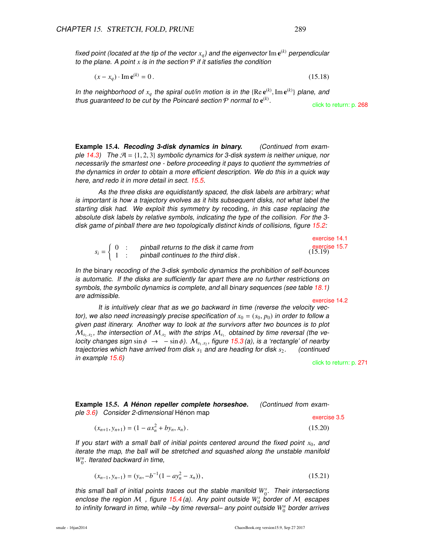fixed point (located at the tip of the vector *xq*) and the eigenvector Im e (*k*) perpendicular to the plane. A point  $x$  is in the section  $P$  if it satisfies the condition

$$
(x - xq) \cdot \text{Im } \mathbf{e}^{(k)} = 0. \tag{15.18}
$$

In the neighborhood of  $x_q$  the spiral out/in motion is in the  $\{ \text{Re } e^{(k)}, \text{Im } e^{(k)} \}$  plane, and thus quaranteed to be cut by the Poincaré section  $\mathcal{P}$  pormal to  $e^{(k)}$ thus guaranteed to be cut by the Poincaré section  $P$  normal to  $e^{(k)}$ .

click to return: p. 268

exercise 14.1

**Example 15.4. Recoding 3-disk dynamics in binary.** (Continued from example 14.3) The  $\mathcal{A} = \{1, 2, 3\}$  symbolic dynamics for 3-disk system is neither unique, nor necessarily the smartest one - before proceeding it pays to quotient the symmetries of the dynamics in order to obtain a more efficient description. We do this in a quick way here, and redo it in more detail in sect. 15.5.

As the three disks are equidistantly spaced, the disk labels are arbitrary; what is important is how a trajectory evolves as it hits subsequent disks, not what label the starting disk had. We exploit this symmetry by recoding, in this case replacing the absolute disk labels by relative symbols, indicating the type of the collision. For the 3 disk game of pinball there are two topologically distinct kinds of collisions, figure 15.2:

|  |                                                                                                                                          | exercise 14.1            |
|--|------------------------------------------------------------------------------------------------------------------------------------------|--------------------------|
|  | $s_i = \begin{cases} 0 : \text{pihball returns to the disk it came from} \\ 1 : \text{pihball continues to the third disk.} \end{cases}$ | exercise 15.7<br>(15.19) |

In the binary recoding of the 3-disk symbolic dynamics the prohibition of self-bounces is automatic. If the disks are sufficiently far apart there are no further restrictions on symbols, the symbolic dynamics is complete, and all binary sequences (see table 18.1) are admissible. **Exercise 14.2** Second 2008 **Exercise 14.2** Second 2008 **Exercise 14.2** Second 2008 **Exercise 14.2** 

It is intuitively clear that as we go backward in time (reverse the velocity vector), we also need increasingly precise specification of  $x_0 = (s_0, p_0)$  in order to follow a given past itinerary. Another way to look at the survivors after two bounces is to plot  $M_{s_1,s_2}$ , the intersection of  $M_{s_2}$  with the strips  $M_{s_1}$  obtained by time reversal (the ve-<br>logity obenese sign sin during the strip of the strips  $M_{s_1}$  figure 15.3(c) is a tractoral of positive locity changes sign  $\sin \phi \rightarrow -\sin \phi$ ).  $M_{s_1,s_2}$ , figure 15.3 (a), is a 'rectangle' of nearby<br>traiectories which have arrived from disk sugged are heading for disk sales (continued trajectories which have arrived from disk  $s_1$  and are heading for disk  $s_2$ . (continued in example 15.6)

click to return: p. 271

**Example** 15.5. **A Hénon repeller complete horseshoe.** (Continued from example 3.6) Consider 2-dimensional Hénon map exercise 3.5

 $(x_{n+1}, y_{n+1}) = (1 - ax_n^2 + by_n, x_n).$  (15.20)

If you start with a small ball of initial points centered around the fixed point  $x_0$ , and iterate the map, the ball will be stretched and squashed along the unstable manifold  $W_0^u$ . Iterated backward in time,

$$
(x_{n-1}, y_{n-1}) = (y_n, -b^{-1}(1 - a y_n^2 - x_n)),
$$
\n(15.21)

this small ball of initial points traces out the stable manifold  $W_0^s$ . Their intersections enclose the region M, figure 15.4 (a). Any point outside  $W_0^s$  border of M, escapes<br>to infinity faryord in time, while, by time reversel, any point outside  $W_0^u$  berder errings to infinity forward in time, while –by time reversal– any point outside *W<sup>u</sup>* 0 border arrives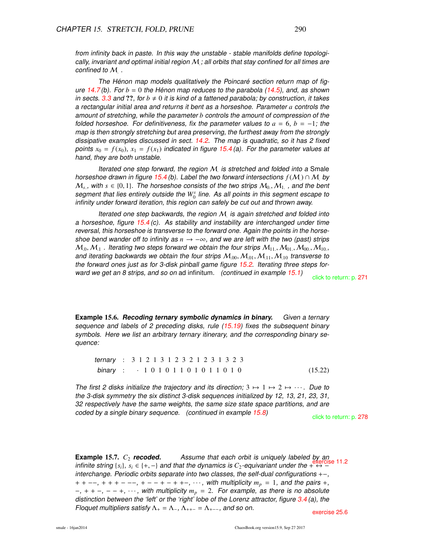from infinity back in paste. In this way the unstable - stable manifolds define topologically, invariant and optimal initial region  $M$ ; all orbits that stay confined for all times are confined to  $\mathcal{M}_{\mathcal{C}}$  .

The Hénon map models qualitatively the Poincaré section return map of figure 14.7(b). For  $b = 0$  the Hénon map reduces to the parabola (14.5), and, as shown in sects. 3.3 and ??, for  $b \neq 0$  it is kind of a fattened parabola; by construction, it takes a rectangular initial area and returns it bent as a horseshoe. Parameter *a* controls the amount of stretching, while the parameter *b* controls the amount of compression of the folded horseshoe. For definitiveness, fix the parameter values to  $a = 6$ ,  $b = -1$ ; the map is then strongly stretching but area preserving, the furthest away from the strongly dissipative examples discussed in sect. 14.2. The map is quadratic, so it has 2 fixed points  $x_0 = f(x_0)$ ,  $x_1 = f(x_1)$  indicated in figure 15.4 (a). For the parameter values at hand, they are both unstable.

Iterated one step forward, the region M is stretched and folded into a Smale<br>local drawn in figure 15.4(b), Label the two farverd intersections  $f(M) \odot M$  by horseshoe drawn in figure 15.4 (b). Label the two forward intersections  $f(M) \cap M$  by  $M_s$ , with  $s \in \{0, 1\}$ . The horseshoe consists of the two strips  $M_0, M_1$ , and the bent sequent that lies entirely outside the W<sup>s</sup> line. As all points in this sequent escape to segment that lies entirely outside the  $W_0^s$  line. As all points in this segment escape to infinity under forward iteration, this region can safely be cut out and thrown away.

Iterated one step backwards, the region  $M$  is again stretched and folded into<br>shee, figure 15.4(c). As stability and instability are intershaped under time a horseshoe, figure  $15.4$  (c). As stability and instability are interchanged under time reversal, this horseshoe is transverse to the forward one. Again the points in the horseshoe bend wander off to infinity as  $n \to -\infty$ , and we are left with the two (past) strips  $M_0, M_1$  . Iterating two steps forward we obtain the four strips  $M_{11}, M_{01}, M_{00}, M_{10},$ <br>and iterating backwards we obtain the four strips  $M_{20}$ ,  $M_{21}$ ,  $M_{32}$ , transverse to and iterating backwards we obtain the four strips  $M_{.00}$ ,  $M_{.01}$ ,  $M_{.11}$ ,  $M_{.10}$  transverse to the forward ones just as for 3-disk pinball game figure 15.2. Iterating three steps forward we get an 8 strips, and so on ad infinitum. (continued in example  $15.1$ )

click to return: p. 271

**Example** 15.6. **Recoding ternary symbolic dynamics in binary.** Given a ternary sequence and labels of 2 preceding disks, rule (15.19) fixes the subsequent binary symbols. Here we list an arbitrary ternary itinerary, and the corresponding binary sequence:

ternary : 3 1 2 1 3 1 2 3 2 1 2 3 1 3 2 3 binary :  $\cdot$  1 0 1 0 1 1 0 1 0 1 1 0 1 0 1 0 (15.22)

The first 2 disks initialize the trajectory and its direction;  $3 \mapsto 1 \mapsto 2 \mapsto \cdots$ . Due to the 3-disk symmetry the six distinct 3-disk sequences initialized by 12, 13, 21, 23, 31, 32 respectively have the same weights, the same size state space partitions, and are coded by a single binary sequence. (continued in example 15.8)

click to return: p. 278

**Example 15.7.**  $C_2$  **recoded.** Assume that each orbit is uniquely labeled by an infinite string  $\{s_i\}$ ,  $s_i \in \{+, -\}$  and that the dynamics is  $C_2$ -equivariant under the  $+ \leftrightarrow$ interchange. Periodic orbits separate into two classes, the self-dual configurations +−, + + −−, + + + − −−, + − − + − + +−, · · ·, with multiplicity  $m_p = 1$ , and the pairs +, −, + + −, − − +, · · · , with multiplicity *m<sup>p</sup>* = 2. For example, as there is no absolute distinction between the 'left' or the 'right' lobe of the Lorenz attractor, figure  $3.4$  (a), the Floquet multipliers satisfy  $\Lambda_{+} = \Lambda_{-}$ ,  $\Lambda_{++-} = \Lambda_{+--}$ , and so on. exercise 25.6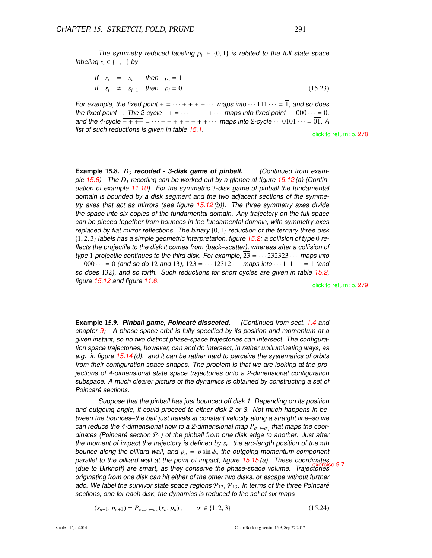The symmetry reduced labeling  $\rho_i \in \{0, 1\}$  is related to the full state space *labeling*  $s_i$  ∈ {+, -} *by* 

If 
$$
s_i = s_{i-1}
$$
 then  $\rho_i = 1$   
\nIf  $s_i \neq s_{i-1}$  then  $\rho_i = 0$  (15.23)

For example, the fixed point  $\overline{+} = \cdots + + + + \cdots$  maps into  $\cdots 111 \cdots = \overline{1}$ , and so does the fixed point  $\overline{-}$ . The 2-cycle  $\overline{-+}$  =  $\cdots$  +  $-$  +  $\cdots$  maps into fixed point  $\cdots$  000  $\cdots$  =  $\overline{0}$ , and the 4-cycle  $\overline{-++-}$  =  $\cdots$  -  $-++$  -  $-++$   $\cdots$  maps into 2-cycle  $\cdots$  0101 $\cdots$  =  $\overline{01}$ . A list of such reductions is given in table 15.1.

click to return: p. 278

**Example** 15.8.  $D_3$  **recoded - 3-disk game of pinball.** (Continued from example 15.6) The  $D_3$  recoding can be worked out by a glance at figure 15.12 (a) (Continuation of example 11.10). For the symmetric 3-disk game of pinball the fundamental domain is bounded by a disk segment and the two adjacent sections of the symmetry axes that act as mirrors (see figure  $15.12(b)$ ). The three symmetry axes divide the space into six copies of the fundamental domain. Any trajectory on the full space can be pieced together from bounces in the fundamental domain, with symmetry axes replaced by flat mirror reflections. The binary  $\{0, 1\}$  reduction of the ternary three disk  $\{1, 2, 3\}$  labels has a simple geometric interpretation, figure 15.2: a collision of type 0 reflects the projectile to the disk it comes from (back–scatter), whereas after a collision of type 1 projectile continues to the third disk. For example,  $\overline{23} = \cdots 232323 \cdots$  maps into  $\cdots 000 \cdots = \overline{0}$  (and so do  $\overline{12}$  and  $\overline{13}$ ),  $\overline{123} = \cdots 12312 \cdots$  maps into  $\cdots 111 \cdots = \overline{1}$  (and so does  $\overline{132}$ ), and so forth. Such reductions for short cycles are given in table 15.2, figure 15.12 and figure 11.6.

click to return: p. 279

**Example 15.9. Pinball game, Poincaré dissected.** (Continued from sect. 1.4 and chapter 9) A phase-space orbit is fully specified by its position and momentum at a given instant, so no two distinct phase-space trajectories can intersect. The configuration space trajectories, however, can and do intersect, in rather unilluminating ways, as e.g. in figure 15.14 (d), and it can be rather hard to perceive the systematics of orbits from their configuration space shapes. The problem is that we are looking at the projections of 4-dimensional state space trajectories onto a 2-dimensional configuration subspace. A much clearer picture of the dynamics is obtained by constructing a set of Poincaré sections.

Suppose that the pinball has just bounced off disk 1. Depending on its position and outgoing angle, it could proceed to either disk 2 or 3. Not much happens in between the bounces–the ball just travels at constant velocity along a straight line–so we can reduce the 4-dimensional flow to a 2-dimensional map *P<sub>σκ</sub>*←σ<sub>j</sub> that maps the coor-<br>dinates (*Poinearé section ©)* of the nighell from ano diak adge to apsther, lugt affer dinates (Poincaré section  $P_1$ ) of the pinball from one disk edge to another. Just after the moment of impact the trajectory is defined by *sn*, the arc-length position of the *n*th bounce along the billiard wall, and  $p_n = p \sin \phi_n$  the outgoing momentum component parallel to the billiard wall at the point of impact, figure 15.15 (a). These coordinates parallel to the billiard wall at the point of impact, figure 15.15 (a). These coordinates exercise 9.7 (due to Birkhoff) are smart, as they conserve the phase-space volume. Trajectories originating from one disk can hit either of the other two disks, or escape without further ado. We label the survivor state space regions  $P_{12}$ ,  $P_{13}$ . In terms of the three Poincaré sections, one for each disk, the dynamics is reduced to the set of six maps

$$
(s_{n+1}, p_{n+1}) = P_{\sigma_{n+1} \leftarrow \sigma_n}(s_n, p_n), \qquad \sigma \in \{1, 2, 3\}
$$
 (15.24)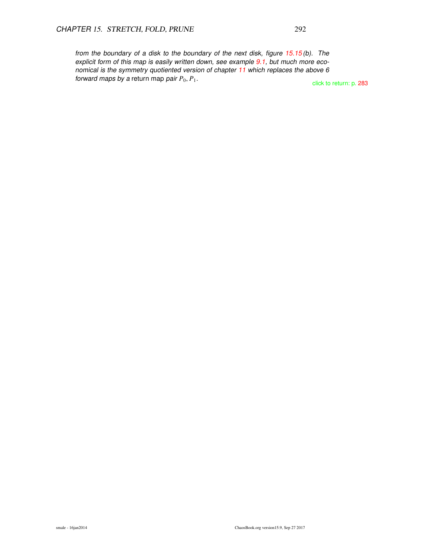from the boundary of a disk to the boundary of the next disk, figure 15.15 (b). The explicit form of this map is easily written down, see example 9.1, but much more economical is the symmetry quotiented version of chapter 11 which replaces the above 6 forward maps by a return map pair  $P_0, P_1$ .

click to return: p. 283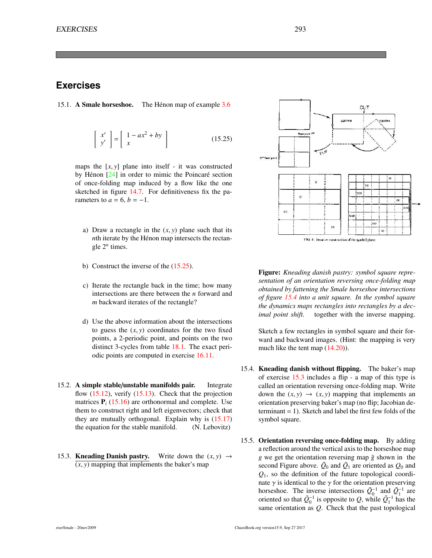### **Exercises**

15.1. A Smale horseshoe. The Hénon map of example 3.6

$$
\begin{bmatrix} x' \\ y' \end{bmatrix} = \begin{bmatrix} 1 - ax^2 + by \\ x \end{bmatrix}
$$
 (15.25)

maps the  $[x, y]$  plane into itself - it was constructed by Hénon [24] in order to mimic the Poincaré section of once-folding map induced by a flow like the one sketched in figure 14.7. For definitiveness fix the parameters to  $a = 6$ ,  $b = -1$ .

- a) Draw a rectangle in the  $(x, y)$  plane such that its *n*th iterate by the Hénon map intersects the rectangle  $2^n$  times.
- b) Construct the inverse of the (15.25).
- c) Iterate the rectangle back in the time; how many intersections are there between the *n* forward and *m* backward iterates of the rectangle?
- d) Use the above information about the intersections to guess the  $(x, y)$  coordinates for the two fixed points, a 2-periodic point, and points on the two distinct 3-cycles from table 18.1. The exact periodic points are computed in exercise 16.11.
- 15.2. A simple stable/unstable manifolds pair. Integrate flow  $(15.12)$ , verify  $(15.13)$ . Check that the projection matrices  $P_i$  (15.16) are orthonormal and complete. Use them to construct right and left eigenvectors; check that they are mutually orthogonal. Explain why is (15.17) the equation for the stable manifold. (N. Lebovitz)
- 15.3. **Kneading Danish pastry.** Write down the  $(x, y) \rightarrow$  $\overline{(x, y)}$  mapping that implements the baker's map



Figure: *Kneading danish pastry: symbol square representation of an orientation reversing once-folding map obtained by fattening the Smale horseshoe intersections of figure 15.4 into a unit square. In the symbol square the dynamics maps rectangles into rectangles by a decimal point shift.* together with the inverse mapping.

Sketch a few rectangles in symbol square and their forward and backward images. (Hint: the mapping is very much like the tent map  $(14.20)$ ).

- 15.4. Kneading danish without flipping. The baker's map of exercise 15.3 includes a flip - a map of this type is called an orientation reversing once-folding map. Write down the  $(x, y) \rightarrow (x, y)$  mapping that implements an orientation preserving baker's map (no flip; Jacobian determinant = 1). Sketch and label the first few folds of the symbol square.
- 15.5. Orientation reversing once-folding map. By adding a reflection around the vertical axis to the horseshoe map *g* we get the orientation reversing map  $\tilde{g}$  shown in the second Figure above.  $\tilde{Q}_0$  and  $\tilde{Q}_1$  are oriented as  $Q_0$  and *Q*1, so the definition of the future topological coordinate  $\gamma$  is identical to the  $\gamma$  for the orientation preserving horseshoe. The inverse intersections  $\tilde{Q}_0^{-1}$  and  $\tilde{Q}_1^{-1}$  are oriented so that  $\tilde{Q}_0^{-1}$  is opposite to *Q*, while  $\tilde{Q}_1^{-1}$  has the same orientation as *Q*. Check that the past topological